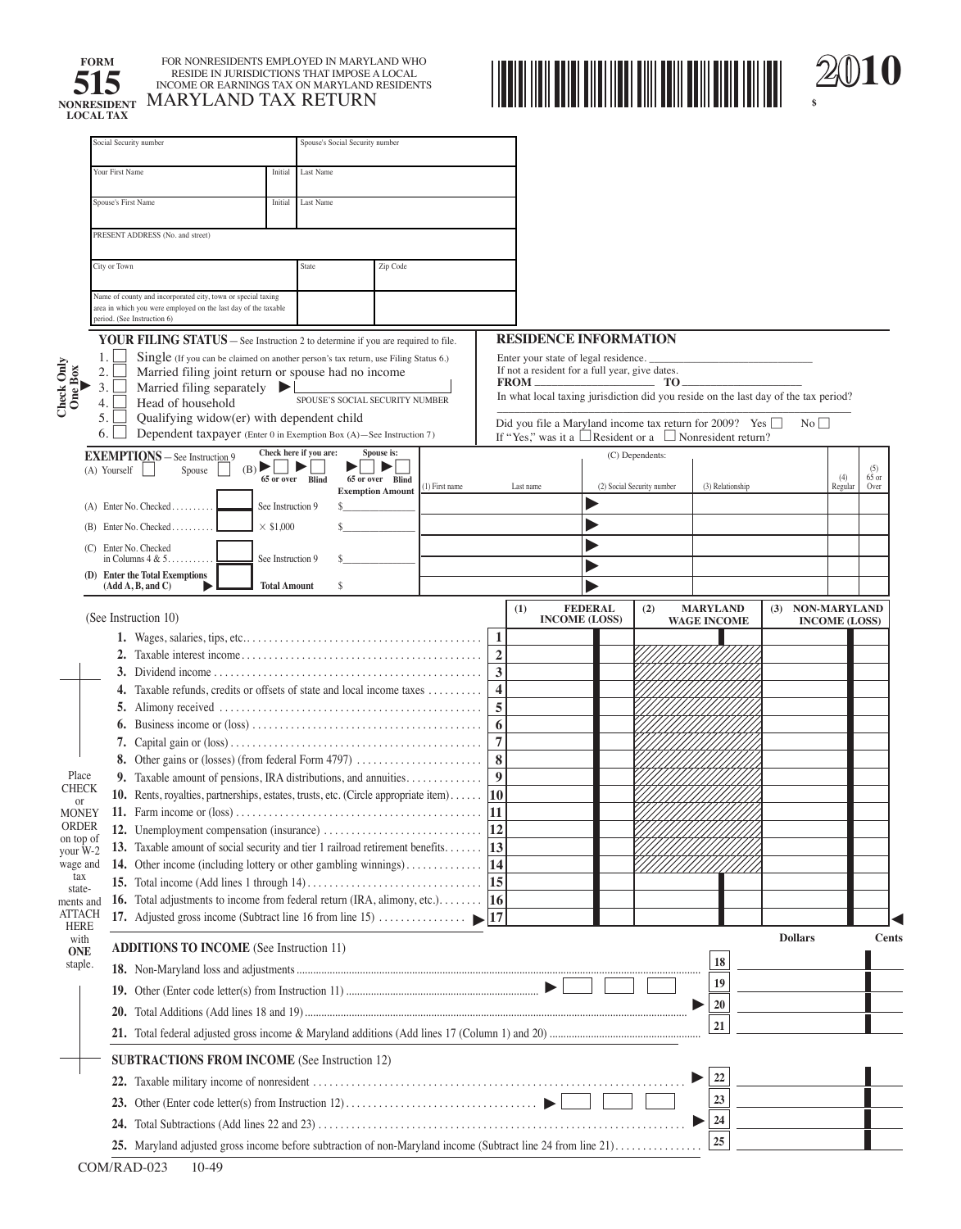

**FORM FOR NONRESIDENTS EMPLOYED IN MARYLAND WHO**<br>**FOR NONRESIDE IN JURISDICTIONS THAT IMPOSE A LOCAL**<br>INCOME OR EARNINGS TAX ON MARYLAND RESIDENTS **SISTER IN JURISDICTIONS THAT IMPOSE A LOCAL INCOME OR EARNINGS TAX ON MARYLAND RESIDENTS LOCAL TAX MARYLAND TAX RETURN** 



|                               | Social Security number                                                                                                                                                                                                                                                                                                                                      |                     | Spouse's Social Security number |                         |               |                  |                                                                                                                                                                               |                                        |                            |                    |     |                      |                |                        |
|-------------------------------|-------------------------------------------------------------------------------------------------------------------------------------------------------------------------------------------------------------------------------------------------------------------------------------------------------------------------------------------------------------|---------------------|---------------------------------|-------------------------|---------------|------------------|-------------------------------------------------------------------------------------------------------------------------------------------------------------------------------|----------------------------------------|----------------------------|--------------------|-----|----------------------|----------------|------------------------|
|                               | Your First Name<br>Last Name<br>Initial                                                                                                                                                                                                                                                                                                                     |                     |                                 |                         |               |                  |                                                                                                                                                                               |                                        |                            |                    |     |                      |                |                        |
|                               | <b>Spouse's First Name</b><br>Last Name<br>Initial                                                                                                                                                                                                                                                                                                          |                     |                                 |                         |               |                  |                                                                                                                                                                               |                                        |                            |                    |     |                      |                |                        |
|                               | PRESENT ADDRESS (No. and street)                                                                                                                                                                                                                                                                                                                            |                     |                                 |                         |               |                  |                                                                                                                                                                               |                                        |                            |                    |     |                      |                |                        |
|                               | City or Town                                                                                                                                                                                                                                                                                                                                                |                     | State                           | Zip Code                |               |                  |                                                                                                                                                                               |                                        |                            |                    |     |                      |                |                        |
|                               | Name of county and incorporated city, town or special taxing<br>area in which you were employed on the last day of the taxable<br>period. (See Instruction 6)                                                                                                                                                                                               |                     |                                 |                         |               |                  |                                                                                                                                                                               |                                        |                            |                    |     |                      |                |                        |
|                               |                                                                                                                                                                                                                                                                                                                                                             |                     |                                 |                         |               |                  | <b>RESIDENCE INFORMATION</b>                                                                                                                                                  |                                        |                            |                    |     |                      |                |                        |
| Check Only<br>One Box         | <b>YOUR FILING STATUS</b> – See Instruction 2 to determine if you are required to file.<br>1.<br>Single (If you can be claimed on another person's tax return, use Filing Status 6.)<br>Married filing joint return or spouse had no income<br>$\overline{2}$ .<br>3.<br>Married filing separately $\blacktriangleright$<br>SPOUSE'S SOCIAL SECURITY NUMBER |                     |                                 |                         |               |                  | Enter your state of legal residence.<br>If not a resident for a full year, give dates.<br>In what local taxing jurisdiction did you reside on the last day of the tax period? |                                        | TO.                        |                    |     |                      |                |                        |
|                               | Head of household<br>4.<br>Qualifying widow(er) with dependent child<br>5.<br>Dependent taxpayer (Enter 0 in Exemption Box (A)-See Instruction 7)<br>6.                                                                                                                                                                                                     |                     |                                 |                         |               |                  | Did you file a Maryland income tax return for 2009? Yes<br>If "Yes," was it a Resident or a Nonresident return?                                                               |                                        |                            |                    |     | $\rm No$ $\Box$      |                |                        |
|                               | <b>EXEMPTIONS</b> - See Instruction 9                                                                                                                                                                                                                                                                                                                       |                     | Check here if you are:          | Spouse is:              |               |                  |                                                                                                                                                                               |                                        | (C) Dependents:            |                    |     |                      |                |                        |
|                               | $(B)$    <br>Spouse<br>(A) Yourself                                                                                                                                                                                                                                                                                                                         |                     | ▶<br>▶<br>65 or over Blind      | ▶<br>65 or over Blind   | 1) First name |                  | Last name                                                                                                                                                                     |                                        | (2) Social Security number | (3) Relationship   |     |                      | (4)<br>Regular | (5)<br>$65$ or<br>Over |
|                               | $(A)$ Enter No. Checked                                                                                                                                                                                                                                                                                                                                     | See Instruction 9   |                                 | <b>Exemption Amount</b> |               |                  |                                                                                                                                                                               |                                        |                            |                    |     |                      |                |                        |
|                               | $(B)$ Enter No. Checked                                                                                                                                                                                                                                                                                                                                     | $\times$ \$1,000    |                                 |                         |               |                  |                                                                                                                                                                               |                                        |                            |                    |     |                      |                |                        |
|                               | (C) Enter No. Checked                                                                                                                                                                                                                                                                                                                                       |                     |                                 |                         |               |                  |                                                                                                                                                                               |                                        |                            |                    |     |                      |                |                        |
|                               | in Columns $4 & 5$ .<br>(D) Enter the Total Exemptions                                                                                                                                                                                                                                                                                                      | See Instruction 9   |                                 |                         |               |                  |                                                                                                                                                                               |                                        |                            |                    |     |                      |                |                        |
|                               | (Add A, B, and C)                                                                                                                                                                                                                                                                                                                                           | <b>Total Amount</b> | s                               |                         |               |                  |                                                                                                                                                                               |                                        |                            |                    |     |                      |                |                        |
|                               | (See Instruction 10)                                                                                                                                                                                                                                                                                                                                        |                     |                                 |                         |               |                  | (1)                                                                                                                                                                           | <b>FEDERAL</b><br><b>INCOME (LOSS)</b> | (2)                        | <b>MARYLAND</b>    | (3) | <b>NON-MARYLAND</b>  |                |                        |
|                               |                                                                                                                                                                                                                                                                                                                                                             |                     |                                 |                         |               | 1                |                                                                                                                                                                               |                                        |                            | <b>WAGE INCOME</b> |     | <b>INCOME (LOSS)</b> |                |                        |
|                               |                                                                                                                                                                                                                                                                                                                                                             |                     |                                 |                         |               | $\overline{2}$   |                                                                                                                                                                               |                                        |                            |                    |     |                      |                |                        |
|                               |                                                                                                                                                                                                                                                                                                                                                             |                     |                                 |                         |               | $\mathbf{3}$     |                                                                                                                                                                               |                                        |                            |                    |     |                      |                |                        |
|                               | 4. Taxable refunds, credits or offsets of state and local income taxes                                                                                                                                                                                                                                                                                      |                     |                                 |                         |               | $\overline{4}$   |                                                                                                                                                                               |                                        |                            |                    |     |                      |                |                        |
|                               |                                                                                                                                                                                                                                                                                                                                                             |                     |                                 |                         |               | 5                |                                                                                                                                                                               |                                        |                            |                    |     |                      |                |                        |
|                               |                                                                                                                                                                                                                                                                                                                                                             |                     |                                 |                         |               | 6                |                                                                                                                                                                               |                                        |                            |                    |     |                      |                |                        |
|                               |                                                                                                                                                                                                                                                                                                                                                             |                     |                                 |                         |               | $\overline{7}$   |                                                                                                                                                                               |                                        |                            |                    |     |                      |                |                        |
| Place                         |                                                                                                                                                                                                                                                                                                                                                             |                     |                                 |                         |               | 8                |                                                                                                                                                                               |                                        |                            |                    |     |                      |                |                        |
| <b>CHECK</b>                  | 9. Taxable amount of pensions, IRA distributions, and annuities<br>10. Rents, royalties, partnerships, estates, trusts, etc. (Circle appropriate item)  10                                                                                                                                                                                                  |                     |                                 |                         |               | $\boldsymbol{9}$ |                                                                                                                                                                               |                                        |                            |                    |     |                      |                |                        |
| <sub>or</sub><br><b>MONEY</b> |                                                                                                                                                                                                                                                                                                                                                             |                     |                                 |                         |               | 11               |                                                                                                                                                                               |                                        |                            |                    |     |                      |                |                        |
| ORDER                         | 12. Unemployment compensation (insurance)                                                                                                                                                                                                                                                                                                                   |                     |                                 |                         |               | 12               |                                                                                                                                                                               |                                        |                            |                    |     |                      |                |                        |
| on top of<br>your $W-2$       | Taxable amount of social security and tier 1 railroad retirement benefits $\boxed{13}$<br>19.                                                                                                                                                                                                                                                               |                     |                                 |                         |               |                  |                                                                                                                                                                               |                                        |                            |                    |     |                      |                |                        |
| wage and                      |                                                                                                                                                                                                                                                                                                                                                             |                     |                                 |                         |               |                  |                                                                                                                                                                               |                                        |                            |                    |     |                      |                |                        |
| tax<br>state-                 |                                                                                                                                                                                                                                                                                                                                                             |                     |                                 |                         |               |                  |                                                                                                                                                                               |                                        |                            |                    |     |                      |                |                        |
| ments and                     | 16. Total adjustments to income from federal return (IRA, alimony, etc.) $\vert$ 16                                                                                                                                                                                                                                                                         |                     |                                 |                         |               |                  |                                                                                                                                                                               |                                        |                            |                    |     |                      |                |                        |
| <b>ATTACH</b><br><b>HERE</b>  | 17. Adjusted gross income (Subtract line 16 from line 15) $\ldots$ $\ldots$ $\ldots$ $\downarrow$ 17                                                                                                                                                                                                                                                        |                     |                                 |                         |               |                  |                                                                                                                                                                               |                                        |                            |                    |     |                      |                |                        |
| with<br><b>ONE</b>            | <b>ADDITIONS TO INCOME</b> (See Instruction 11)                                                                                                                                                                                                                                                                                                             |                     |                                 |                         |               |                  |                                                                                                                                                                               |                                        |                            |                    |     | <b>Dollars</b>       |                | <b>Cents</b>           |
| staple.                       |                                                                                                                                                                                                                                                                                                                                                             |                     |                                 |                         |               |                  |                                                                                                                                                                               |                                        |                            | 18                 |     |                      |                |                        |
|                               |                                                                                                                                                                                                                                                                                                                                                             |                     |                                 |                         |               |                  |                                                                                                                                                                               |                                        |                            | 19                 |     |                      |                |                        |
|                               | 20.                                                                                                                                                                                                                                                                                                                                                         |                     |                                 |                         |               |                  |                                                                                                                                                                               |                                        |                            | 20                 |     |                      |                |                        |
|                               |                                                                                                                                                                                                                                                                                                                                                             |                     |                                 |                         |               |                  |                                                                                                                                                                               |                                        |                            | ${\bf 21}$         |     |                      |                |                        |
|                               | <b>SUBTRACTIONS FROM INCOME</b> (See Instruction 12)                                                                                                                                                                                                                                                                                                        |                     |                                 |                         |               |                  |                                                                                                                                                                               |                                        |                            |                    |     |                      |                |                        |
|                               |                                                                                                                                                                                                                                                                                                                                                             |                     |                                 |                         |               |                  |                                                                                                                                                                               |                                        |                            | 22                 |     |                      |                |                        |
|                               |                                                                                                                                                                                                                                                                                                                                                             |                     |                                 |                         |               |                  |                                                                                                                                                                               |                                        |                            | 23                 |     |                      |                |                        |
|                               |                                                                                                                                                                                                                                                                                                                                                             |                     |                                 |                         |               |                  |                                                                                                                                                                               |                                        |                            | 24                 |     |                      |                |                        |
|                               | 24.                                                                                                                                                                                                                                                                                                                                                         |                     |                                 |                         |               |                  |                                                                                                                                                                               |                                        |                            | 25                 |     |                      |                |                        |
|                               | 25. Maryland adjusted gross income before subtraction of non-Maryland income (Subtract line 24 from line 21)                                                                                                                                                                                                                                                |                     |                                 |                         |               |                  |                                                                                                                                                                               |                                        |                            |                    |     |                      |                |                        |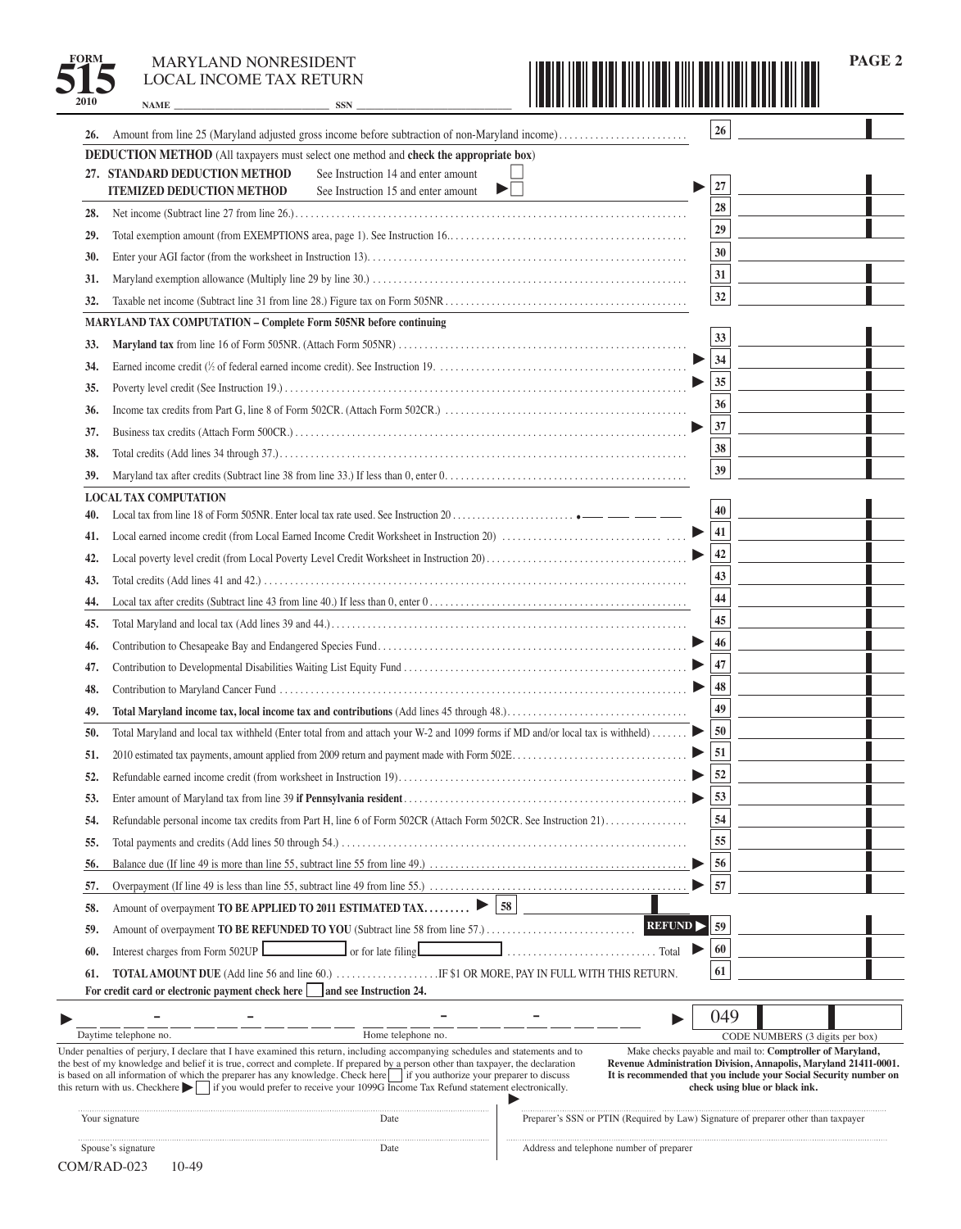**2010 NAME \_\_\_\_\_\_\_\_\_\_\_\_\_\_\_\_\_\_\_\_\_\_\_\_\_\_\_\_\_\_\_\_\_\_ SSN \_\_\_\_\_\_\_\_\_\_\_\_\_\_\_\_\_\_\_\_\_\_\_\_\_\_\_\_\_\_\_\_\_\_** 



**PAGE 2** 

| 26.        | Amount from line 25 (Maryland adjusted gross income before subtraction of non-Maryland income)                                                                                                                                                                                                                                                                                                                                                                                                                                                                                                                                                                                                                                                 | $26\phantom{.}$ |                                |                                 |  |
|------------|------------------------------------------------------------------------------------------------------------------------------------------------------------------------------------------------------------------------------------------------------------------------------------------------------------------------------------------------------------------------------------------------------------------------------------------------------------------------------------------------------------------------------------------------------------------------------------------------------------------------------------------------------------------------------------------------------------------------------------------------|-----------------|--------------------------------|---------------------------------|--|
|            | <b>DEDUCTION METHOD</b> (All taxpayers must select one method and check the appropriate box)                                                                                                                                                                                                                                                                                                                                                                                                                                                                                                                                                                                                                                                   |                 |                                |                                 |  |
|            | 27. STANDARD DEDUCTION METHOD<br>See Instruction 14 and enter amount<br>$\blacktriangleright$ $\vdash$<br><b>ITEMIZED DEDUCTION METHOD</b><br>See Instruction 15 and enter amount                                                                                                                                                                                                                                                                                                                                                                                                                                                                                                                                                              | 27              |                                |                                 |  |
|            |                                                                                                                                                                                                                                                                                                                                                                                                                                                                                                                                                                                                                                                                                                                                                | 28              |                                |                                 |  |
| 28.        |                                                                                                                                                                                                                                                                                                                                                                                                                                                                                                                                                                                                                                                                                                                                                | 29              |                                |                                 |  |
| 29.        |                                                                                                                                                                                                                                                                                                                                                                                                                                                                                                                                                                                                                                                                                                                                                | 30              |                                |                                 |  |
| 30.        |                                                                                                                                                                                                                                                                                                                                                                                                                                                                                                                                                                                                                                                                                                                                                | 31              |                                |                                 |  |
| 31.<br>32. |                                                                                                                                                                                                                                                                                                                                                                                                                                                                                                                                                                                                                                                                                                                                                | 32              |                                |                                 |  |
|            | <b>MARYLAND TAX COMPUTATION - Complete Form 505NR before continuing</b>                                                                                                                                                                                                                                                                                                                                                                                                                                                                                                                                                                                                                                                                        |                 |                                |                                 |  |
| 33.        |                                                                                                                                                                                                                                                                                                                                                                                                                                                                                                                                                                                                                                                                                                                                                | 33              |                                |                                 |  |
| 34.        |                                                                                                                                                                                                                                                                                                                                                                                                                                                                                                                                                                                                                                                                                                                                                | 34              |                                |                                 |  |
| 35.        |                                                                                                                                                                                                                                                                                                                                                                                                                                                                                                                                                                                                                                                                                                                                                | 35              |                                |                                 |  |
| 36.        |                                                                                                                                                                                                                                                                                                                                                                                                                                                                                                                                                                                                                                                                                                                                                | 36              |                                |                                 |  |
| 37.        |                                                                                                                                                                                                                                                                                                                                                                                                                                                                                                                                                                                                                                                                                                                                                | 37              |                                |                                 |  |
| 38.        |                                                                                                                                                                                                                                                                                                                                                                                                                                                                                                                                                                                                                                                                                                                                                | 38              |                                |                                 |  |
| 39.        |                                                                                                                                                                                                                                                                                                                                                                                                                                                                                                                                                                                                                                                                                                                                                | 39              |                                |                                 |  |
|            | <b>LOCAL TAX COMPUTATION</b>                                                                                                                                                                                                                                                                                                                                                                                                                                                                                                                                                                                                                                                                                                                   |                 |                                |                                 |  |
| 40.        |                                                                                                                                                                                                                                                                                                                                                                                                                                                                                                                                                                                                                                                                                                                                                | 40              |                                |                                 |  |
| 41.        |                                                                                                                                                                                                                                                                                                                                                                                                                                                                                                                                                                                                                                                                                                                                                | 41              |                                |                                 |  |
| 42.        |                                                                                                                                                                                                                                                                                                                                                                                                                                                                                                                                                                                                                                                                                                                                                | 42              |                                |                                 |  |
| 43.        |                                                                                                                                                                                                                                                                                                                                                                                                                                                                                                                                                                                                                                                                                                                                                | 43              |                                |                                 |  |
| 44.        |                                                                                                                                                                                                                                                                                                                                                                                                                                                                                                                                                                                                                                                                                                                                                | 44              |                                |                                 |  |
| 45.        |                                                                                                                                                                                                                                                                                                                                                                                                                                                                                                                                                                                                                                                                                                                                                | 45              |                                |                                 |  |
| 46.        |                                                                                                                                                                                                                                                                                                                                                                                                                                                                                                                                                                                                                                                                                                                                                | 46              |                                |                                 |  |
| 47.        |                                                                                                                                                                                                                                                                                                                                                                                                                                                                                                                                                                                                                                                                                                                                                | 47              |                                |                                 |  |
| 48.        |                                                                                                                                                                                                                                                                                                                                                                                                                                                                                                                                                                                                                                                                                                                                                | 48              |                                |                                 |  |
| 49.        |                                                                                                                                                                                                                                                                                                                                                                                                                                                                                                                                                                                                                                                                                                                                                | 49              |                                |                                 |  |
| 50.        | Total Maryland and local tax withheld (Enter total from and attach your W-2 and 1099 forms if MD and/or local tax is withheld)                                                                                                                                                                                                                                                                                                                                                                                                                                                                                                                                                                                                                 | 50              |                                |                                 |  |
| 51.        |                                                                                                                                                                                                                                                                                                                                                                                                                                                                                                                                                                                                                                                                                                                                                | 51              |                                |                                 |  |
| 52.        |                                                                                                                                                                                                                                                                                                                                                                                                                                                                                                                                                                                                                                                                                                                                                | 52              |                                |                                 |  |
| 53.        |                                                                                                                                                                                                                                                                                                                                                                                                                                                                                                                                                                                                                                                                                                                                                | 53              |                                |                                 |  |
| 54.        | Refundable personal income tax credits from Part H, line 6 of Form 502CR (Attach Form 502CR. See Instruction 21)                                                                                                                                                                                                                                                                                                                                                                                                                                                                                                                                                                                                                               | 54              |                                |                                 |  |
| 55.        |                                                                                                                                                                                                                                                                                                                                                                                                                                                                                                                                                                                                                                                                                                                                                | 55              |                                |                                 |  |
| 56.        |                                                                                                                                                                                                                                                                                                                                                                                                                                                                                                                                                                                                                                                                                                                                                | 56              |                                |                                 |  |
| 57.        |                                                                                                                                                                                                                                                                                                                                                                                                                                                                                                                                                                                                                                                                                                                                                | 57              |                                |                                 |  |
| 58.        | 58<br>Amount of overpayment TO BE APPLIED TO 2011 ESTIMATED TAX                                                                                                                                                                                                                                                                                                                                                                                                                                                                                                                                                                                                                                                                                |                 |                                |                                 |  |
| 59.        | <b>REFUND</b>                                                                                                                                                                                                                                                                                                                                                                                                                                                                                                                                                                                                                                                                                                                                  | 59              |                                |                                 |  |
| 60.        | Interest charges from Form 502UP<br>or for late filing                                                                                                                                                                                                                                                                                                                                                                                                                                                                                                                                                                                                                                                                                         | 60              |                                |                                 |  |
| 61.        | <b>TOTAL AMOUNT DUE</b> (Add line 56 and line 60.) F \$1 OR MORE, PAY IN FULL WITH THIS RETURN.                                                                                                                                                                                                                                                                                                                                                                                                                                                                                                                                                                                                                                                | 61              |                                |                                 |  |
|            | For credit card or electronic payment check here and see Instruction 24.                                                                                                                                                                                                                                                                                                                                                                                                                                                                                                                                                                                                                                                                       |                 |                                |                                 |  |
|            |                                                                                                                                                                                                                                                                                                                                                                                                                                                                                                                                                                                                                                                                                                                                                | 049             |                                |                                 |  |
|            | Daytime telephone no.<br>Home telephone no.                                                                                                                                                                                                                                                                                                                                                                                                                                                                                                                                                                                                                                                                                                    |                 |                                | CODE NUMBERS (3 digits per box) |  |
|            | Under penalties of perjury, I declare that I have examined this return, including accompanying schedules and statements and to<br>Make checks payable and mail to: Comptroller of Maryland,<br>the best of my knowledge and belief it is true, correct and complete. If prepared by a person other than taxpayer, the declaration<br>Revenue Administration Division, Annapolis, Maryland 21411-0001.<br>is based on all information of which the preparer has any knowledge. Check here if you authorize your preparer to discuss<br>It is recommended that you include your Social Security number on<br>this return with us. Checkhere $\blacksquare$ if you would prefer to receive your 1099G Income Tax Refund statement electronically. |                 | check using blue or black ink. |                                 |  |
|            | Preparer's SSN or PTIN (Required by Law) Signature of preparer other than taxpayer<br>Your signature<br>Date                                                                                                                                                                                                                                                                                                                                                                                                                                                                                                                                                                                                                                   |                 |                                |                                 |  |

Spouse's signature Date Address and telephone number of preparer

. . . . . . . .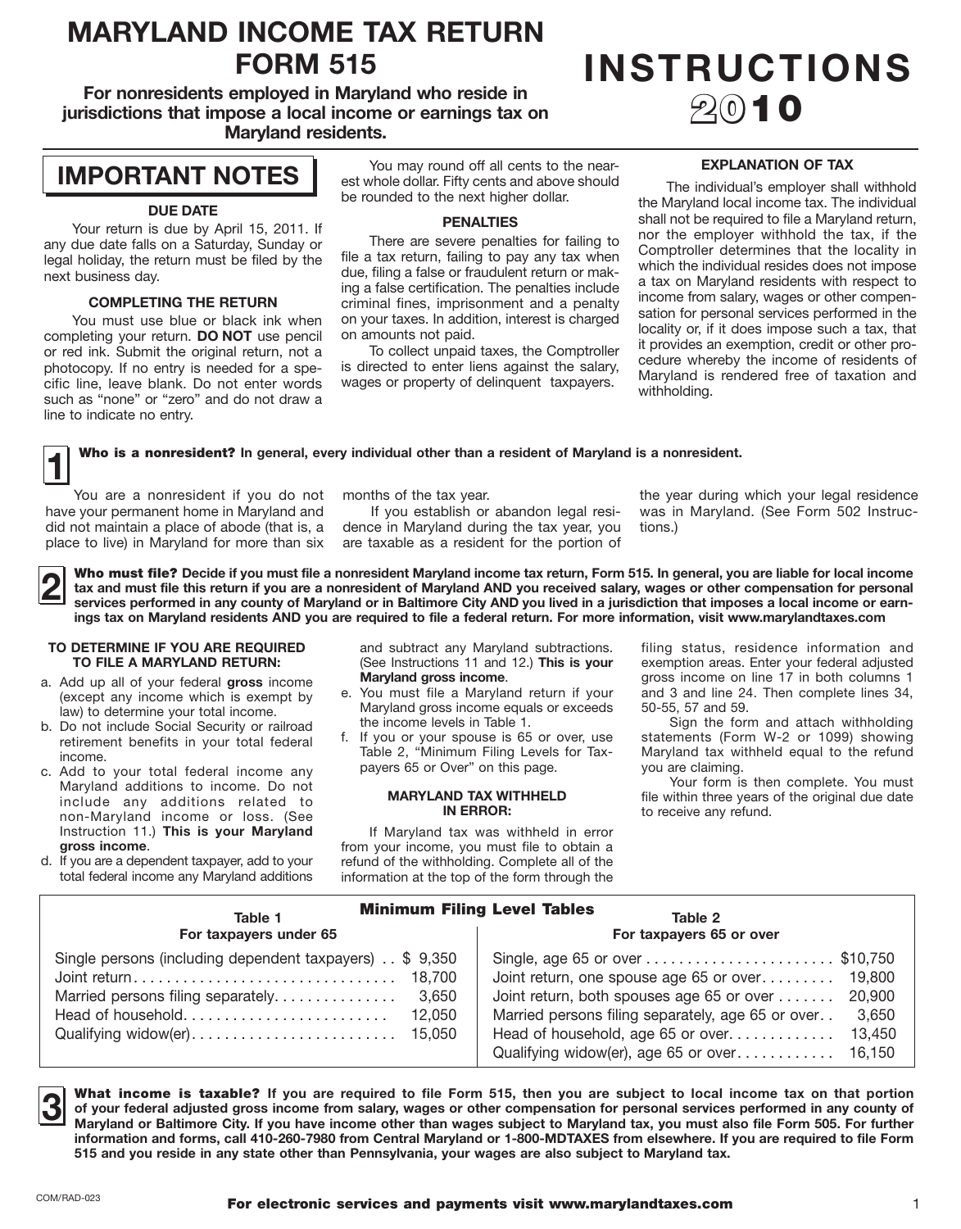# **MARYLAND INCOME TAX RETURN**

**For nonresidents employed in Maryland who reside in jurisdictions that impose a local income or earnings tax on Maryland residents.** 

### **IMPORTANT NOTES**

#### **DUE DATE**

 any due date falls on a Saturday, Sunday or legal holiday, the return must be filed by the Your return is due by April 15, 2011. If next business day.

#### **COMPLETING THE RETURN**

 You must use blue or black ink when completing your return. **DO NOT** use pencil or red ink. Submit the original return, not a cific line, leave blank. Do not enter words such as "none" or "zero" and do not draw a photocopy. If no entry is needed for a speline to indicate no entry.

 est whole dollar. Fifty cents and above should You may round off all cents to the nearbe rounded to the next higher dollar.

#### **PENALTIES**

 file a tax return, failing to pay any tax when criminal fines, imprisonment and a penalty on your taxes. In addition, interest is charged There are severe penalties for failing to due, filing a false or fraudulent return or making a false certification. The penalties include on amounts not paid.

 To collect unpaid taxes, the Comptroller is directed to enter liens against the salary, wages or property of delinquent taxpayers.

## FORM 515 **INSTRUCTIONS** 2010

#### **EXPLANATION OF TAX**

 the Maryland local income tax. The individual nor the employer withhold the tax, if the Comptroller determines that the locality in a tax on Maryland residents with respect to sation for personal services performed in the locality or, if it does impose such a tax, that cedure whereby the income of residents of Maryland is rendered free of taxation and The individual's employer shall withhold shall not be required to file a Maryland return, which the individual resides does not impose income from salary, wages or other compenit provides an exemption, credit or other prowithholding.

Who is a nonresident? In general, every individual other than a resident of Maryland is a nonresident.

You are a nonresident if you do not have your permanent home in Maryland and If you establish or abandon legal resi- was in Maryland. (See Form 502 Instrucdid not maintain a place of abode (that is, a dence in Maryland during the tax year, you tions.)<br>place to live) in Maryland for more than six are taxable as a resident for the portion of

are taxable as a resident for the portion of

months of the tax year. The vear during which your legal residence

Who must file? Decide if you must file a nonresident Maryland income tax return, Form 515. In general, you are liable for local income<br>In tax and must file this return if you are a nonresident of Maryland AND you received **services performed in any county of Maryland or in Baltimore City AND you lived in a jurisdiction that imposes a local income or earnings tax on Maryland residents AND you are required to file a federal return. For more information, visit <www.marylandtaxes.com>** 

#### **TO DETERMINE IF YOU ARE REQUIRED TO FILE A MARYLAND RETURN:**

- a. Add up all of your federal **gross** income (except any income which is exempt by law) to determine your total income.
- b. Do not include Social Security or railroad retirement benefits in your total federal income.
- c. Add to your total federal income any non-Maryland income or loss. (See  Instruction 11.) **This is your Maryland**  Maryland additions to income. Do not include any additions related to **gross income**.
- total federal income any Maryland additions d. If you are a dependent taxpayer, add to your

 and subtract any Maryland subtractions. (See Instructions 11 and 12.) **This is your Maryland gross income**.

- e. You must file a Maryland return if your Maryland gross income equals or exceeds the income levels in Table 1.
- f. If you or your spouse is 65 or over, use Table 2, "Minimum Filing Levels for Taxpayers 65 or Over" on this page.

#### **MARYLAND TAX WITHHELD IN ERROR:**

 from your income, you must file to obtain a If Maryland tax was withheld in error refund of the withholding. Complete all of the information at the top of the form through the

 filing status, residence information and gross income on line 17 in both columns 1 exemption areas. Enter your federal adjusted and 3 and line 24. Then complete lines 34, 50-55, 57 and 59.

 Maryland tax withheld equal to the refund Sign the form and attach withholding statements (Form W-2 or 1099) showing you are claiming.

Your form is then complete. You must file within three years of the original due date to receive any refund.

| <b>Minimum Filing Level Tables</b><br>Table 1<br>Table 2                                                                                                                           |                                                                                                                                                                                                                                                                         |  |  |  |  |  |  |  |
|------------------------------------------------------------------------------------------------------------------------------------------------------------------------------------|-------------------------------------------------------------------------------------------------------------------------------------------------------------------------------------------------------------------------------------------------------------------------|--|--|--|--|--|--|--|
| For taxpayers under 65                                                                                                                                                             | For taxpayers 65 or over                                                                                                                                                                                                                                                |  |  |  |  |  |  |  |
| Single persons (including dependent taxpayers) . \$ 9,350<br>18.700<br>Married persons filing separately<br>3,650<br>Head of household<br>12,050<br>Qualifying widow(er)<br>15,050 | Joint return, one spouse age 65 or over<br>19,800<br>Joint return, both spouses age 65 or over<br>20,900<br>Married persons filing separately, age 65 or over<br>3.650<br>Head of household, age 65 or over<br>13,450<br>Qualifying widow(er), age 65 or over<br>16.150 |  |  |  |  |  |  |  |

□ **information and forms, call 410-260-7980 from Central Maryland or 1-800-MDTAXES from elsewhere. If you are required to file Form**  What income is taxable? If you are required to file Form 515, then you are subject to local income tax on that portion<br>of your federal adjusted gross income from salary, wages or other compensation for personal services pe **Maryland or Baltimore City. If you have income other than wages subject to Maryland tax, you must also file Form 505. For further 515 and you reside in any state other than Pennsylvania, your wages are also subject to Maryland tax.**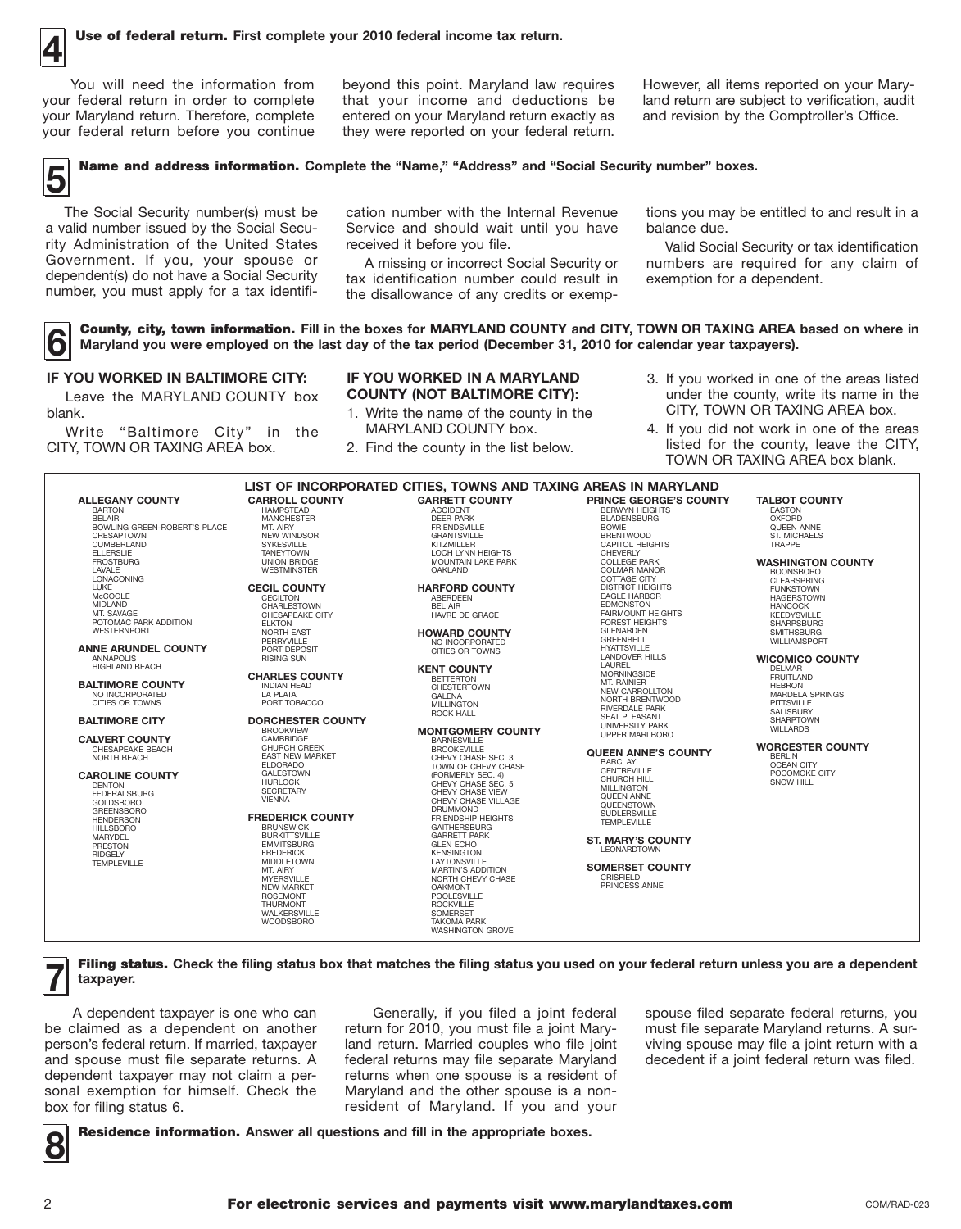You will need the information from your federal return in order to complete your Maryland return. Therefore, complete

 your federal return before you continue they were reported on your federal return. You will need the information from beyond this point. Maryland law requires However, all items reported on your Marythat your income and deductions be<br>entered on your Maryland return exactly as

land return are subject to verification, audit<br>and revision by the Comptroller's Office.

### **5** Name and address information. Complete the "Name," "Address" and "Social Security number" boxes.

rity Administration of the United States Government. If you, your spouse or<br>dependent(s) do not have a Social Security a valid number issued by the Social Secu- Service and should wait until you have balance due. rity Administration of the United States received it before you file. The Valid Social Security or tax identification<br>Government. If you, your spouse or A missing or incorrect Social Security or numbers are required for an

cation number with the Internal Revenue The Social Security number(s) must be cation number with the Internal Revenue tions you may be entitled to and result in a

tax identification number could result in

numbers are required for any claim of

**County, city, town information.** Fill in the boxes for MARYLAND COUNTY and CITY, TOWN OR TAXING AREA based on where in Maryland you were employed on the last day of the tax period (December 31, 2010 for calendar year taxp **Maryland you were employed on the last day of the tax period (December 31, 2010 for calendar year taxpayers).** 

Leave the MARYLAND COUNTY box blank. 1. Write the name of the county in the CITY, TOWN OR TAXING AREA box. The CITY, TOWN OR TAXING AREA box.

### **IF YOU WORKED IN A MARYLAND**

- 
- 

**IF YOU WORKED IN BALTIMORE CITY:** IF YOU WORKED IN A MARYLAND 3. If you worked in one of the areas listed CITY, TOWN OR TAXING AREA box. **COUNTY (NOT BALTIMORE CITY):** under the county, write its name in the

 Write "Baltimore City" in the MARYLAND COUNTY box. 4. If you did not work in one of the areas CITY, TOWN OR TAXING AREA box. 2. Find the county in the list below. I listed for the county, leave the CITY, listed for the county, leave the CITY, TOWN OR TAXING AREA box blank.

|                                                                                                                                                                                                                      |                                                                                                                                                                                                                                                                                                                                              | LIST OF INCORPORATED CITIES, TOWNS AND TAXING AREAS IN MARYLAND                                                                                                                                                                                                                                                                                                                                                     |                                                                                                                                                                                                                                                                                      |                                                                                                                                                                                                                                               |
|----------------------------------------------------------------------------------------------------------------------------------------------------------------------------------------------------------------------|----------------------------------------------------------------------------------------------------------------------------------------------------------------------------------------------------------------------------------------------------------------------------------------------------------------------------------------------|---------------------------------------------------------------------------------------------------------------------------------------------------------------------------------------------------------------------------------------------------------------------------------------------------------------------------------------------------------------------------------------------------------------------|--------------------------------------------------------------------------------------------------------------------------------------------------------------------------------------------------------------------------------------------------------------------------------------|-----------------------------------------------------------------------------------------------------------------------------------------------------------------------------------------------------------------------------------------------|
| <b>ALLEGANY COUNTY</b><br><b>BARTON</b><br><b>BELAIR</b><br>BOWLING GREEN-ROBERT'S PLACE<br>CRESAPTOWN<br>CUMBERLAND<br><b>ELLERSLIE</b><br><b>FROSTBURG</b><br>LAVALE                                               | <b>CARROLL COUNTY</b><br><b>HAMPSTEAD</b><br><b>MANCHESTER</b><br>MT. AIRY<br><b>NEW WINDSOR</b><br>SYKESVILLE<br><b>TANEYTOWN</b><br><b>UNION BRIDGE</b><br><b>WESTMINSTER</b>                                                                                                                                                              | <b>GARRETT COUNTY</b><br><b>ACCIDENT</b><br><b>DEER PARK</b><br><b>FRIENDSVILLE</b><br><b>GRANTSVILLE</b><br>KITZMILLER<br>LOCH LYNN HEIGHTS<br><b>MOUNTAIN LAKE PARK</b><br><b>OAKLAND</b>                                                                                                                                                                                                                         | <b>PRINCE GEORGE'S COUNTY</b><br><b>BERWYN HEIGHTS</b><br><b>BLADENSBURG</b><br><b>BOWIE</b><br><b>BRENTWOOD</b><br><b>CAPITOL HEIGHTS</b><br>CHEVERLY<br><b>COLLEGE PARK</b><br><b>COLMAR MANOR</b>                                                                                 | <b>TALBOT COUNTY</b><br><b>EASTON</b><br><b>OXFORD</b><br>QUEEN ANNE<br><b>ST. MICHAELS</b><br><b>TRAPPE</b><br><b>WASHINGTON COUNTY</b><br><b>BOONSBORO</b>                                                                                  |
| <b>LONACONING</b><br>LUKE<br>McCOOLE<br><b>MIDLAND</b><br>MT. SAVAGE<br>POTOMAC PARK ADDITION<br><b>WESTERNPORT</b><br><b>ANNE ARUNDEL COUNTY</b><br><b>ANNAPOLIS</b><br>HIGHLAND BEACH<br><b>BALTIMORE COUNTY</b>   | <b>CECIL COUNTY</b><br><b>CECILTON</b><br>CHARLESTOWN<br>CHESAPEAKE CITY<br><b>ELKTON</b><br><b>NORTH EAST</b><br>PERRYVILLE<br>PORT DEPOSIT<br><b>RISING SUN</b><br><b>CHARLES COUNTY</b><br><b>INDIAN HEAD</b>                                                                                                                             | <b>HARFORD COUNTY</b><br><b>ABERDEEN</b><br>BFL AIR<br>HAVRE DE GRACE<br><b>HOWARD COUNTY</b><br>NO INCORPORATED<br>CITIES OR TOWNS<br><b>KENT COUNTY</b><br><b>BETTERTON</b><br><b>CHESTERTOWN</b>                                                                                                                                                                                                                 | <b>COTTAGE CITY</b><br><b>DISTRICT HEIGHTS</b><br><b>EAGLE HARBOR</b><br><b>EDMONSTON</b><br><b>FAIRMOUNT HEIGHTS</b><br><b>FOREST HEIGHTS</b><br><b>GLENARDEN</b><br><b>GREENBELT</b><br><b>HYATTSVILLE</b><br><b>LANDOVER HILLS</b><br>LAUREL<br><b>MORNINGSIDE</b><br>MT. RAINIER | <b>CLEARSPRING</b><br><b>FUNKSTOWN</b><br><b>HAGERSTOWN</b><br><b>HANCOCK</b><br>KEEDYSVILLE<br><b>SHARPSBURG</b><br><b>SMITHSBURG</b><br><b>WILLIAMSPORT</b><br><b>WICOMICO COUNTY</b><br><b>DELMAR</b><br><b>FRUITLAND</b><br><b>HEBRON</b> |
| NO INCORPORATED<br>CITIES OR TOWNS<br><b>BALTIMORE CITY</b>                                                                                                                                                          | LA PLATA<br>PORT TOBACCO<br><b>DORCHESTER COUNTY</b><br><b>BROOKVIEW</b>                                                                                                                                                                                                                                                                     | <b>GALENA</b><br><b>MILLINGTON</b><br><b>ROCK HALL</b><br><b>MONTGOMERY COUNTY</b>                                                                                                                                                                                                                                                                                                                                  | <b>NEW CARROLLTON</b><br>NORTH BRENTWOOD<br><b>RIVERDALE PARK</b><br><b>SEAT PLEASANT</b><br><b>UNIVERSITY PARK</b>                                                                                                                                                                  | <b>MARDELA SPRINGS</b><br><b>PITTSVILLE</b><br><b>SALISBURY</b><br><b>SHARPTOWN</b><br><b>WILLARDS</b>                                                                                                                                        |
| <b>CALVERT COUNTY</b><br>CHESAPEAKE BEACH<br>NORTH BEACH                                                                                                                                                             | CAMBRIDGE<br><b>CHURCH CREEK</b><br><b>EAST NEW MARKET</b><br><b>ELDORADO</b>                                                                                                                                                                                                                                                                | <b>BARNESVILLE</b><br><b>BROOKEVILLE</b><br>CHEVY CHASE SEC. 3<br>TOWN OF CHEVY CHASE                                                                                                                                                                                                                                                                                                                               | <b>UPPER MARLBORO</b><br><b>QUEEN ANNE'S COUNTY</b><br><b>BARCLAY</b><br>CENTREVILLE                                                                                                                                                                                                 | <b>WORCESTER COUNTY</b><br><b>BERLIN</b><br><b>OCEAN CITY</b>                                                                                                                                                                                 |
| <b>CAROLINE COUNTY</b><br><b>DENTON</b><br><b>FEDERALSBURG</b><br><b>GOLDSBORO</b><br><b>GREENSBORO</b><br><b>HENDERSON</b><br><b>HILLSBORO</b><br><b>MARYDEL</b><br>PRESTON<br><b>RIDGELY</b><br><b>TEMPLEVILLE</b> | <b>GALESTOWN</b><br><b>HURLOCK</b><br><b>SECRETARY</b><br><b>VIENNA</b><br><b>FREDERICK COUNTY</b><br><b>BRUNSWICK</b><br><b>BURKITTSVILLE</b><br><b>EMMITSBURG</b><br><b>FREDERICK</b><br><b>MIDDLETOWN</b><br>MT. AIRY<br><b>MYERSVILLE</b><br><b>NEW MARKET</b><br><b>ROSEMONT</b><br><b>THURMONT</b><br>WALKERSVILLE<br><b>WOODSBORO</b> | (FORMERLY SEC. 4)<br>CHEVY CHASE SEC. 5<br>CHEVY CHASE VIEW<br>CHEVY CHASE VILLAGE<br><b>DRUMMOND</b><br><b>FRIENDSHIP HEIGHTS</b><br><b>GAITHERSBURG</b><br><b>GARRETT PARK</b><br><b>GLEN ECHO</b><br><b>KENSINGTON</b><br>LAYTONSVILLE<br><b>MARTIN'S ADDITION</b><br>NORTH CHEVY CHASE<br><b>OAKMONT</b><br><b>POOLESVILLE</b><br><b>ROCKVILLE</b><br>SOMERSET<br><b>TAKOMA PARK</b><br><b>WASHINGTON GROVE</b> | <b>CHURCH HILL</b><br><b>MILLINGTON</b><br><b>QUEEN ANNE</b><br>QUEENSTOWN<br>SUDLERSVILLE<br><b>TEMPLEVILLE</b><br><b>ST. MARY'S COUNTY</b><br><b>LEONARDTOWN</b><br><b>SOMERSET COUNTY</b><br><b>CRISFIELD</b><br>PRINCESS ANNE                                                    | POCOMOKE CITY<br>SNOW HILL                                                                                                                                                                                                                    |

**7** Filing status. **Check the filing status box that matches the filing status you used on your federal return unless you are a dependent taxpayer.** 

 be claimed as a dependent on another and spouse must file separate returns. A sonal exemption for himself. Check the **□**<br>A dependent taxpayer is one who can person's federal return. If married, taxpayer dependent taxpayer may not claim a perbox for filing status 6.

 Generally, if you filed a joint federal returns when one spouse is a resident of resident of Maryland. If you and your return for 2010, you must file a joint Maryland return. Married couples who file joint federal returns may file separate Maryland Maryland and the other spouse is a non-

 spouse filed separate federal returns, you must file separate Maryland returns. A surviving spouse may file a joint return with a decedent if a joint federal return was filed.

**Residence information.** Answer all questions and fill in the appropriate boxes.

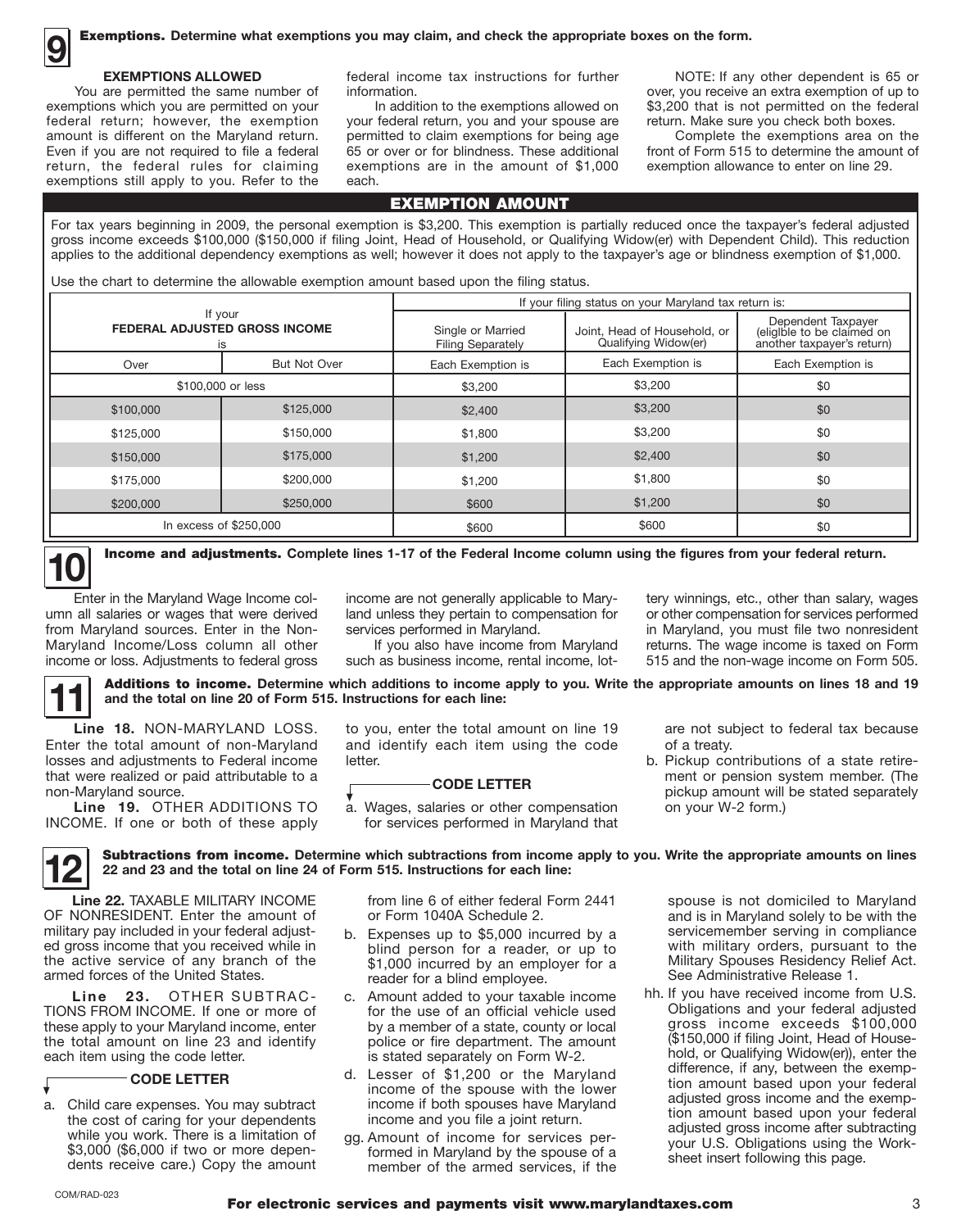### 一<br>…

You are permitted the same number of federal return; however, the exemption Even if you are not required to file a federal exemptions still apply to you. Refer to the each.

 return, the federal rules for claiming exemptions are in the amount of \$1,000 exemption allowance to enter on line 29. exemptions which you are permitted on your In addition to the exemptions allowed on \$3,200 that is not permitted on the federal your federal return, you and your spouse are return. Make sure you check both boxes. amount is different on the Maryland return. permitted to claim exemptions for being age Even if you are not required to file a federal 65 or over or for blindness. These additional

**EXEMPTIONS ALLOWED** federal income tax instructions for further **NOTE:** If any other dependent is 65 or information. The same number of the same number of information. The same number of information of up to

> Complete the exemptions area on the front of Form 515 to determine the amount of

#### For tax years beginning in 2009, the personal exemption is \$3,200. This exemption is partially reduced once the taxpayer's federal adjusted gross income exceeds \$100,000 (\$150,000 if filing Joint, Head of Household, or Qualifying Widow(er) with Dependent Child). This reduction applies to the additional dependency exemptions as well; however it does not apply to the taxpayer's age or blindness exemption of \$1,000.

EXEMPTION AMOUNT

Use the chart to determine the allowable exemption amount based upon the filing status.

|                                                                                      |           | If your filing status on your Maryland tax return is:                                                 |                   |                                                                                |  |  |  |
|--------------------------------------------------------------------------------------|-----------|-------------------------------------------------------------------------------------------------------|-------------------|--------------------------------------------------------------------------------|--|--|--|
| If your<br><b>FEDERAL ADJUSTED GROSS INCOME</b><br>is<br><b>But Not Over</b><br>Over |           | Single or Married<br>Joint, Head of Household, or<br>Qualifying Widow(er)<br><b>Filing Separately</b> |                   | Dependent Taxpayer<br>(eligible to be claimed on<br>another taxpayer's return) |  |  |  |
|                                                                                      |           | Each Exemption is                                                                                     | Each Exemption is | Each Exemption is                                                              |  |  |  |
| \$100,000 or less                                                                    |           | \$3,200                                                                                               | \$3,200           | \$0                                                                            |  |  |  |
| \$100,000                                                                            | \$125,000 | \$2,400                                                                                               | \$3,200           | \$0                                                                            |  |  |  |
| \$125,000                                                                            | \$150,000 | \$1,800                                                                                               | \$3,200           | \$0                                                                            |  |  |  |
| \$150,000                                                                            | \$175,000 | \$1,200                                                                                               | \$2,400           | \$0                                                                            |  |  |  |
| \$175,000                                                                            | \$200,000 | \$1,200                                                                                               | \$1,800           | \$0                                                                            |  |  |  |
| \$200,000                                                                            | \$250,000 | \$600                                                                                                 | \$1,200           | \$0                                                                            |  |  |  |
| In excess of \$250,000                                                               |           | \$600                                                                                                 | \$600             | \$0                                                                            |  |  |  |

**Income and adjustments.** Complete lines 1-17 of the Federal Income column using the figures from your federal return.

income are not generally applicable to Mary- tery winnings, etc., other than salary, wages land unless they pertain to compensation for or other compensation for services performed

Enter in the Maryland Wage Income column all salaries or wages that were derived from Maryland sources. Enter in the Non- services performed in Maryland. in Maryland, you must file two nonresident Maryland Income/Loss column all other If you also have income from Maryland returns. The wage income is taxed on Form income or loss. Adjustments to federal gross such as business income, rental income, lot-<br>
515 and the non-wage income on Form 505.

**11** Additions to income. **Determine which additions to income apply to you. Write the appropriate amounts on lines 18 and 19 and the total on line 20 of Form 515. Instructions for each line:** 

Enter the total amount of non-Maryland **Line 18.** NON-MARYLAND LOSS. to you, enter the total amount on line 19 Enter the total amount of non-Maryland and identify each item using the code Line 18. NON-MARYLAND LOSS. losses and adjustments to Federal income letter. that were realized or paid attributable to a **CODE LETTER** non-Maryland source.

Line 19. OTHER ADDITIONS TO INCOME. If one or both of these apply for services performed in Maryland that **Line 19.** OTHER ADDITIONS TO a. Wages, salaries or other compensation



**12** Subtractions from income. Determine which subtractions from income apply to you. Write the appropriate amounts on lines <br>**22** and 23 and the total on line 24 of Form 515. Instructions for each line: **22 and 23 and the total on line 24 of Form 515. Instructions for each line:** 

 OF NONRESIDENT. Enter the amount of the active service of any branch of the **LICE** 22 and 23 and the total on line 24<br>
Line 22. TAXABLE MILITARY INCOME<br>
OF NONDESIDENT Enter the emount of military pay included in your federal adjusted gross income that you received while in armed forces of the United States.

 **Line 23.** OTHER SUBTRAC- TIONS FROM INCOME. If one or more of the total amount on line 23 and identify these apply to your Maryland income, enter each item using the code letter.

#### **CODE LETTER**

a. \$3,000 (\$6,000 if two or more depen- dents receive care.) Copy the amount Child care expenses. You may subtract the cost of caring for your dependents while you work. There is a limitation of

from line 6 of either federal Form 2441 or Form 1040A Schedule 2.

- b. blind person for a reader, or up to \$1,000 incurred by an employer for a Expenses up to \$5,000 incurred by a reader for a blind employee.
- c. Amount added to your taxable income for the use of an official vehicle used police or fire department. The amount by a member of a state, county or local is stated separately on Form W-2.
- d. Lesser of \$1,200 or the Maryland income of the spouse with the lower income if both spouses have Maryland income and you file a joint return.
- gg. Amount of income for services per- member of the armed services, if the formed in Maryland by the spouse of a

 are not subject to federal tax because of a treaty.

 b. Pickup contributions of a state retire- ment or pension system member. (The pickup amount will be stated separately on your W-2 form.)

 spouse is not domiciled to Maryland servicemember serving in compliance with military orders, pursuant to the and is in Maryland solely to be with the Military Spouses Residency Relief Act. See Administrative Release 1.

 hh. If you have received income from U.S. Obligations and your federal adjusted gross income exceeds \$100,000 hold, or Qualifying Widow(er)), enter the tion amount based upon your federal tion amount based upon your federal adjusted gross income after subtracting (\$150,000 if filing Joint, Head of Housedifference, if any, between the exempadjusted gross income and the exempyour U.S. Obligations using the Worksheet insert following this page.

▼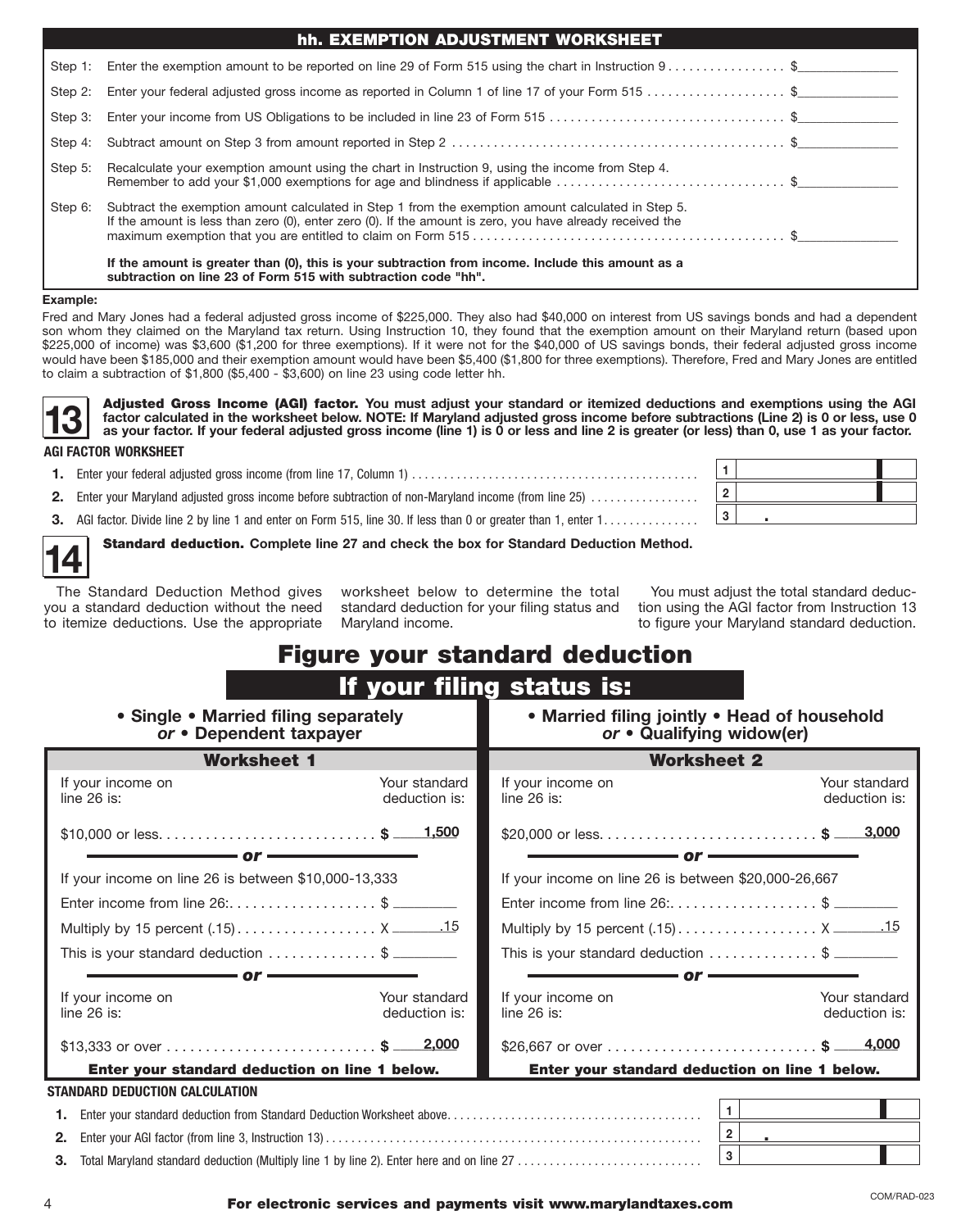|         | hh. EXEMPTION ADJUSTMENT WORKSHEET                                                                                                                                                                              |  |
|---------|-----------------------------------------------------------------------------------------------------------------------------------------------------------------------------------------------------------------|--|
|         | Step 1: Enter the exemption amount to be reported on line 29 of Form 515 using the chart in Instruction 9\$                                                                                                     |  |
| Step 2: | Enter your federal adjusted gross income as reported in Column 1 of line 17 of your Form 515 \$                                                                                                                 |  |
| Step 3: |                                                                                                                                                                                                                 |  |
| Step 4: |                                                                                                                                                                                                                 |  |
| Step 5: | Recalculate your exemption amount using the chart in Instruction 9, using the income from Step 4.<br>Remember to add your \$1,000 exemptions for age and blindness if applicable \$                             |  |
| Step 6: | Subtract the exemption amount calculated in Step 1 from the exemption amount calculated in Step 5.<br>If the amount is less than zero (0), enter zero (0). If the amount is zero, you have already received the |  |
|         | If the amount is greater than (0), this is your subtraction from income. Include this amount as a<br>subtraction on line 23 of Form 515 with subtraction code "hh".                                             |  |

#### **Example:**

Fred and Mary Jones had a federal adjusted gross income of \$225,000. They also had \$40,000 on interest from US savings bonds and had a dependent son whom they claimed on the Maryland tax return. Using Instruction 10, they found that the exemption amount on their Maryland return (based upon \$225,000 of income) was \$3,600 (\$1,200 for three exemptions). If it were not for the \$40,000 of US savings bonds, their federal adjusted gross income would have been \$185,000 and their exemption amount would have been \$5,400 (\$1,800 for three exemptions). Therefore, Fred and Mary Jones are entitled to claim a subtraction of \$1,800 (\$5,400 - \$3,600) on line 23 using code letter hh.

■ **■ I** Increase that the worksheet below. NOTE: it waryland adjusted gross income before subtractions (Line 2) is 0 or less, use of as your factor.<br> **AGI FACTOR WORKSHEET**<br>
■ **1.** Enter your federal adjusted gross income **13 Adjusted Gross Income (AGI) factor.** You must adjust your standard or itemized deductions and exemptions using the AGI factor calculated in the worksheet below. NOTE: If Maryland adjusted gross income before subtract **factor calculated in the worksheet below. NOTE: If Maryland adjusted gross income before subtractions (Line 2) is 0 or less, use 0** 

#### **AGI FACTOR WORKSHEET**

| 2. Enter your Maryland adjusted gross income before subtraction of non-Maryland income (from line 25)         |  |  |
|---------------------------------------------------------------------------------------------------------------|--|--|
| AGI factor. Divide line 2 by line 1 and enter on Form 515, line 30. If less than 0 or greater than 1, enter 1 |  |  |

**3.** AGI factor. Divide line 2 by line 1 and enter on Form 515, line 30. If less than 0 or greater than 1, enter 1..............

**14** Standard deduction. **Complete line 27 and check the box for Standard Deduction Method.** 

to itemize deductions. Use the appropriate you a standard deduction without the need standard deduction for your filing status and tion using the AGI factor from Instruction 13

 □ The Standard Deduction Method gives worksheet below to determine the total You must adjust the total standard deducworksheet below to determine the total Maryland income. The appropriate Maryland income. The appropriate Maryland standard deduction.

### Figure your standard deduction

|                                                                                                |                                | If your filing status is:                                                 |                                |  |  |  |
|------------------------------------------------------------------------------------------------|--------------------------------|---------------------------------------------------------------------------|--------------------------------|--|--|--|
| • Single • Married filing separately<br>or • Dependent taxpayer                                |                                | • Married filing jointly • Head of household<br>or • Qualifying widow(er) |                                |  |  |  |
| <b>Worksheet 1</b>                                                                             |                                | <b>Worksheet 2</b>                                                        |                                |  |  |  |
| If your income on<br>line $26$ is:                                                             | Your standard<br>deduction is: | If your income on<br>line $26$ is:                                        | Your standard<br>deduction is: |  |  |  |
|                                                                                                |                                |                                                                           |                                |  |  |  |
| – or ·                                                                                         |                                | $\mathbf{or} \longrightarrow$                                             |                                |  |  |  |
| If your income on line 26 is between \$10,000-13,333                                           |                                | If your income on line 26 is between \$20,000-26,667                      |                                |  |  |  |
| Enter income from line 26: \$                                                                  |                                | Enter income from line 26: \$                                             |                                |  |  |  |
| Multiply by 15 percent (.15) X _______.15                                                      |                                |                                                                           |                                |  |  |  |
| This is your standard deduction \$                                                             |                                | This is your standard deduction \$                                        |                                |  |  |  |
| $-$ or $\cdot$                                                                                 |                                | – or <del>– – – –</del>                                                   |                                |  |  |  |
| If your income on                                                                              | Your standard                  | If your income on                                                         | Your standard                  |  |  |  |
| line $26$ is:                                                                                  | deduction is:                  | line $26$ is:                                                             | deduction is:                  |  |  |  |
|                                                                                                |                                | \$26,667 or over \$ 4,000                                                 |                                |  |  |  |
| Enter your standard deduction on line 1 below.                                                 |                                | Enter your standard deduction on line 1 below.                            |                                |  |  |  |
| STANDARD DEDUCTION CALCULATION                                                                 |                                |                                                                           |                                |  |  |  |
|                                                                                                |                                | $\vert$ 1 $\vert$                                                         |                                |  |  |  |
| 2.                                                                                             |                                | 2 <sup>1</sup>                                                            |                                |  |  |  |
| Total Maryland standard deduction (Multiply line 1 by line 2). Enter here and on line 27<br>З. |                                | 3 <sup>1</sup>                                                            |                                |  |  |  |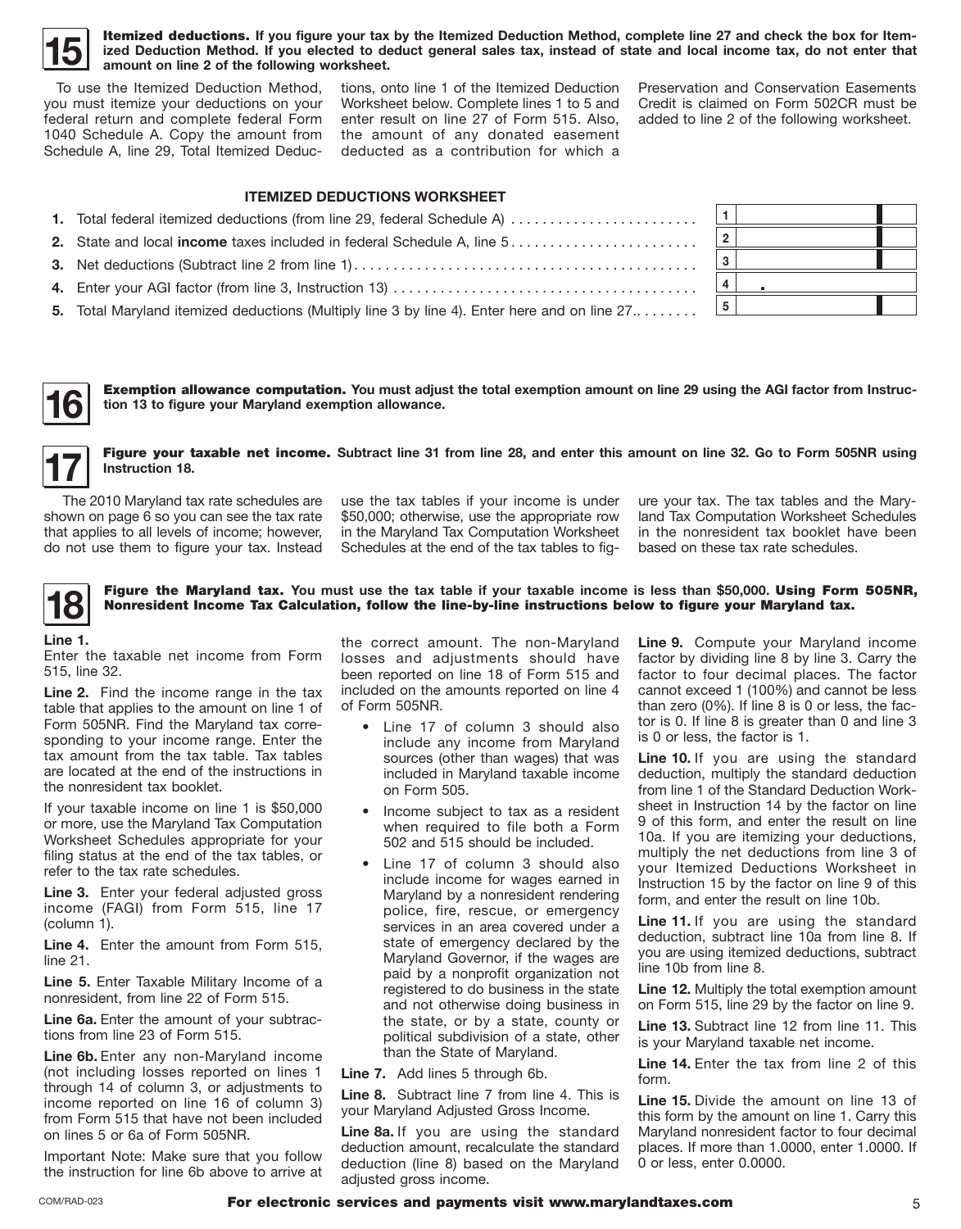

**15 Itemized deductions.** If you figure your tax by the Itemized Deduction Method, complete line 27 and check the box for Item-<br>
ized Deduction Method. If you elected to deduct general sales tax, instead of state and loc **ized Deduction Method. If you elected to deduct general sales tax, instead of state and local income tax, do not enter that amount on line 2 of the following worksheet.** 

 To use the Itemized Deduction Method, you must itemize your deductions on your federal return and complete federal Form 1040 Schedule A. Copy the amount from Schedule A, line 29, Total Itemized Deduc-

 enter result on line 27 of Form 515. Also, the amount of any donated easement deducted as a contribution for which a tions, onto line 1 of the Itemized Deduction Worksheet below. Complete lines 1 to 5 and

 Preservation and Conservation Easements Credit is claimed on Form 502CR must be added to line 2 of the following worksheet.

| <b>ITEMIZED DEDUCTIONS WORKSHEET</b>                                                         |   |  |
|----------------------------------------------------------------------------------------------|---|--|
| 1. Total federal itemized deductions (from line 29, federal Schedule A)                      |   |  |
|                                                                                              |   |  |
|                                                                                              |   |  |
|                                                                                              |   |  |
| 5. Total Maryland itemized deductions (Multiply line 3 by line 4). Enter here and on line 27 | 5 |  |

Exemption allowance computation. **You must adjust the total exemption amount on line 29 using the AGI factor from Instruction 13 to figure your Maryland exemption allowance.** 



**16** 

Figure your taxable net income. **Subtract line 31 from line 28, and enter this amount on line 32. Go to Form 505NR using Instruction 18.** 

shown on page 6 so you can see the tax rate that applies to all levels of income; however, do not use them to figure your tax. Instead

 The 2010 Maryland tax rate schedules are use the tax tables if your income is under ure your tax. The tax tables and the Mary- shown on page 6 so you can see the tax rate \$50,000; otherwise, use the appropriate row land Tax Computation Worksheet Schedules that applies to all levels of income; however, in the Maryland Tax Computation Worksheet in the nonresident tax booklet have been Schedules at the end of the tax tables to fig- based on these tax rate schedules.

**18 Figure the Maryland tax.** You must use the tax table if your taxable income is less than \$50,000. Using Form 505NR, Nonresident Income Tax Calculation, follow the line-by-line instructions below to figure your Maryla Nonresident Income Tax Calculation, follow the line-by-line instructions below to figure your Maryland tax.

#### **Line 1.**

 Enter the taxable net income from Form 515, line 32.

 **Line 2.** Find the income range in the tax sponding to your income range. Enter the tax amount from the tax table. Tax tables table that applies to the amount on line 1 of Form 505NR. Find the Maryland tax correare located at the end of the instructions in the nonresident tax booklet.

 Worksheet Schedules appropriate for your If your taxable income on line 1 is \$50,000 or more, use the Maryland Tax Computation filing status at the end of the tax tables, or refer to the tax rate schedules.

 **Line 3.** Enter your federal adjusted gross income (FAGI) from Form 515, line 17 (column 1).

 **Line 4.** Enter the amount from Form 515, line 21.

 **Line 5.** Enter Taxable Military Income of a nonresident, from line 22 of Form 515.

Line 6a. Enter the amount of your subtractions from line 23 of Form 515.

 **Line 6b.** Enter any non-Maryland income (not including losses reported on lines 1 income reported on line 16 of column 3) through 14 of column 3, or adjustments to from Form 515 that have not been included on lines 5 or 6a of Form 505NR.

 Important Note: Make sure that you follow the instruction for line 6b above to arrive at

 the correct amount. The non-Maryland losses and adjustments should have been reported on line 18 of Form 515 and included on the amounts reported on line 4 of Form 505NR.

- Line 17 of column 3 should also include any income from Maryland sources (other than wages) that was included in Maryland taxable income on Form 505.
- Income subject to tax as a resident when required to file both a Form 502 and 515 should be included.
- Line 17 of column 3 should also include income for wages earned in police, fire, rescue, or emergency services in an area covered under a state of emergency declared by the paid by a nonprofit organization not the state, or by a state, county or Maryland by a nonresident rendering Maryland Governor, if the wages are registered to do business in the state and not otherwise doing business in political subdivision of a state, other than the State of Maryland.

**Line 7.** Add lines 5 through 6b.

**Line 8.** Subtract line 7 from line 4. This is your Maryland Adjusted Gross Income.

 **Line 8a.** If you are using the standard deduction (line 8) based on the Maryland deduction amount, recalculate the standard adjusted gross income.

 **Line 9.** Compute your Maryland income factor to four decimal places. The factor factor by dividing line 8 by line 3. Carry the cannot exceed 1 (100%) and cannot be less than zero (0%). If line 8 is 0 or less, the factor is 0. If line 8 is greater than 0 and line 3 is 0 or less, the factor is 1.

Line 10. If you are using the standard 9 of this form, and enter the result on line 10a. If you are itemizing your deductions, multiply the net deductions from line 3 of your Itemized Deductions Worksheet in deduction, multiply the standard deduction from line 1 of the Standard Deduction Worksheet in Instruction 14 by the factor on line Instruction 15 by the factor on line 9 of this form, and enter the result on line 10b.

Line 11. If you are using the standard deduction, subtract line 10a from line 8. If you are using itemized deductions, subtract line 10b from line 8.

 **Line 12.** Multiply the total exemption amount on Form 515, line 29 by the factor on line 9.

**Line 13.** Subtract line 12 from line 11. This is your Maryland taxable net income.

 **Line 14.** Enter the tax from line 2 of this form.

 **Line 15.** Divide the amount on line 13 of this form by the amount on line 1. Carry this Maryland nonresident factor to four decimal places. If more than 1.0000, enter 1.0000. If 0 or less, enter 0.0000.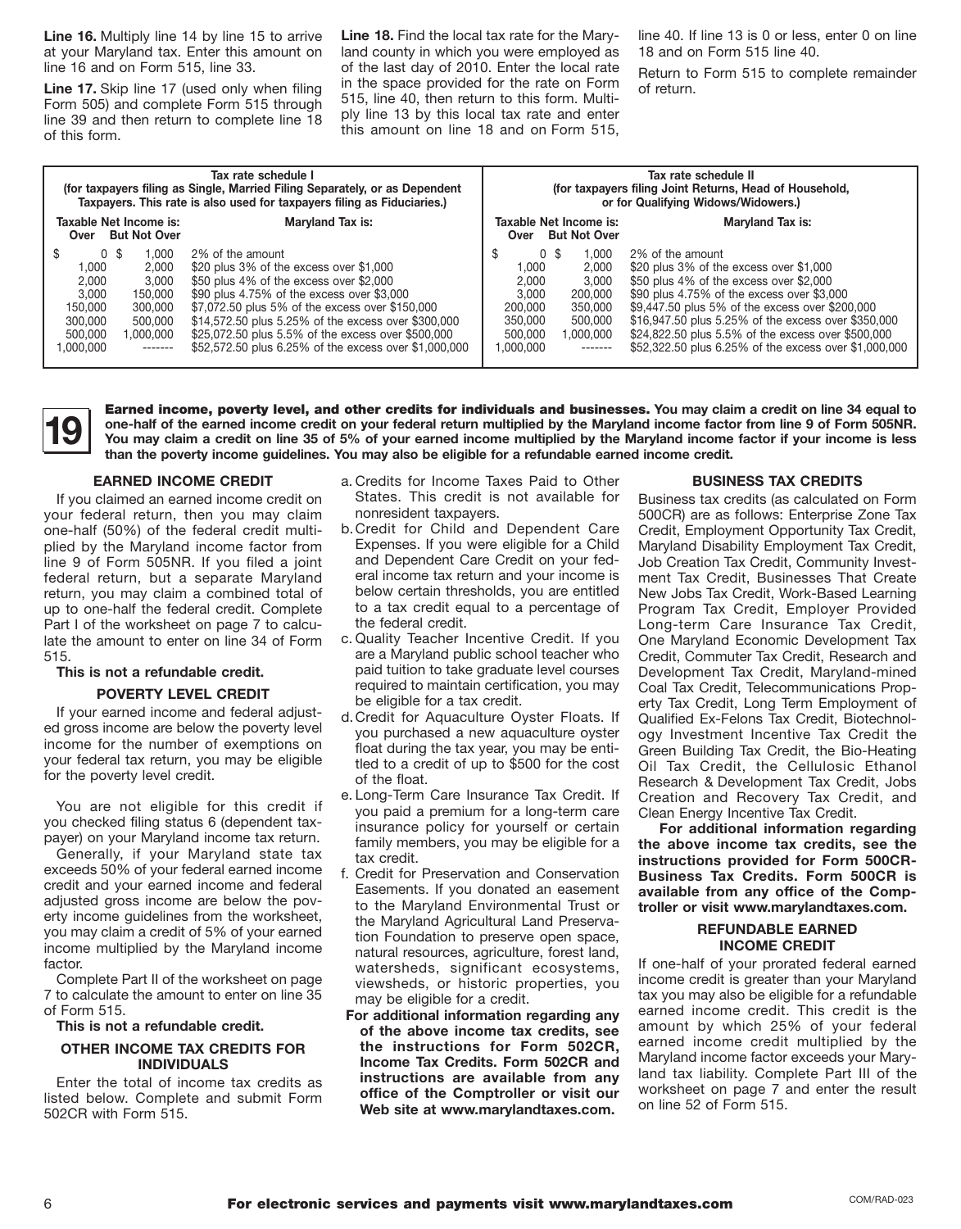**Line 16.** Multiply line 14 by line 15 to arrive **Line 18.** Find the local tax rate for the Mary- line 40. If line 13 is 0 or less, enter 0 on line

ply line 13 by this local tax rate and enter this amount on line 18 and on Form 515, at your Maryland tax. Enter this amount on land county in which you were employed as 18 and on Form 515 line 40.<br>line 16 and on Form 515, line 33. external of the last day of 2010. Enter the local rate pature to Form 515 t line 16 and on Form 515, line 33. of the last day of 2010. Enter the local rate Return to Form 515 to complete remainder Line 17. Skip line 17 (used only when filing in the space provided for the rate on Form form.<br>Form 505) and complete Form 515 through 515, line 40, then return to this form. Multi-<br>line 39 and then return to complete line

|                                                                                                                                                                             | Tax rate schedule I<br>(for taxpayers filing as Single, Married Filing Separately, or as Dependent<br>Taxpayers. This rate is also used for taxpayers filing as Fiduciaries.)                                                                                                                                                                                                 | Tax rate schedule II<br>(for taxpayers filing Joint Returns, Head of Household,<br>or for Qualifying Widows/Widowers.) |                                                                                  |                                                                                                                                                                                                                                                                                                                                                                                   |  |  |  |
|-----------------------------------------------------------------------------------------------------------------------------------------------------------------------------|-------------------------------------------------------------------------------------------------------------------------------------------------------------------------------------------------------------------------------------------------------------------------------------------------------------------------------------------------------------------------------|------------------------------------------------------------------------------------------------------------------------|----------------------------------------------------------------------------------|-----------------------------------------------------------------------------------------------------------------------------------------------------------------------------------------------------------------------------------------------------------------------------------------------------------------------------------------------------------------------------------|--|--|--|
| Taxable Net Income is:<br>Maryland Tax is:<br>Over But Not Over                                                                                                             |                                                                                                                                                                                                                                                                                                                                                                               | Taxable Net Income is:                                                                                                 | Over But Not Over                                                                | <b>Maryland Tax is:</b>                                                                                                                                                                                                                                                                                                                                                           |  |  |  |
| 0 <sup>5</sup><br>1.000<br>1.000<br>2,000<br>2,000<br>3.000<br>3.000<br>150.000<br>150,000<br>300,000<br>300,000<br>500,000<br>500.000<br>1,000,000<br>1,000,000<br>------- | 2% of the amount<br>\$20 plus 3% of the excess over \$1,000<br>\$50 plus 4% of the excess over \$2,000<br>\$90 plus 4.75% of the excess over \$3,000<br>\$7,072.50 plus 5% of the excess over \$150,000<br>\$14,572.50 plus 5.25% of the excess over \$300,000<br>\$25,072.50 plus 5.5% of the excess over \$500,000<br>\$52,572.50 plus 6.25% of the excess over \$1,000,000 | \$<br>0 <sup>5</sup><br>1,000<br>2,000<br>3.000<br>200,000<br>350,000<br>500,000<br>1.000.000                          | 1.000<br>2.000<br>3.000<br>200,000<br>350,000<br>500,000<br>1,000,000<br>------- | 2% of the amount<br>\$20 plus $3\%$ of the excess over \$1,000<br>$$50$ plus 4% of the excess over \$2,000<br>\$90 plus 4.75% of the excess over \$3,000<br>\$9,447.50 plus 5% of the excess over \$200,000<br>\$16,947.50 plus 5.25% of the excess over \$350,000<br>\$24,822.50 plus 5.5% of the excess over \$500,000<br>\$52,322.50 plus 6.25% of the excess over \$1,000,000 |  |  |  |

 **You may claim a credit on line 35 of 5% of your earned income multiplied by the Maryland income factor if your income is less 19** Earned income, poverty level, and other credits for individuals and businesses. You may claim a credit on line 34 equal to one-half of the earned income credit on your federal return multiplied by the Maryland income **one-half of the earned income credit on your federal return multiplied by the Maryland income factor from line 9 of Form 505NR. than the poverty income guidelines. You may also be eligible for a refundable earned income credit.** 

#### **EARNED INCOME CREDIT**

 your federal return, then you may claim plied by the Maryland income factor from line 9 of Form 505NR. If you filed a joint federal return, but a separate Maryland return, you may claim a combined total of If you claimed an earned income credit on one-half (50%) of the federal credit multiup to one-half the federal credit. Complete Part I of the worksheet on page 7 to calculate the amount to enter on line 34 of Form 515.

#### **This is not a refundable credit.**

#### **POVERTY LEVEL CREDIT**

 income for the number of exemptions on If your earned income and federal adjusted gross income are below the poverty level your federal tax return, you may be eligible for the poverty level credit.

 You are not eligible for this credit if you checked filing status 6 (dependent taxpayer) on your Maryland income tax return.

 Generally, if your Maryland state tax income multiplied by the Maryland income exceeds 50% of your federal earned income credit and your earned income and federal adjusted gross income are below the poverty income guidelines from the worksheet, you may claim a credit of 5% of your earned factor.

Complete Part II of the worksheet on page 7 to calculate the amount to enter on line 35 of Form 515.

**This is not a refundable credit.** 

#### **OTHER INCOME TAX CREDITS FOR INDIVIDUALS**

 Enter the total of income tax credits as listed below. Complete and submit Form 502CR with Form 515.

- a. Credits for Income Taxes Paid to Other States. This credit is not available for nonresident taxpayers.
- b.Credit for Child and Dependent Care to a tax credit equal to a percentage of Expenses. If you were eligible for a Child and Dependent Care Credit on your federal income tax return and your income is below certain thresholds, you are entitled the federal credit.
- c. Quality Teacher Incentive Credit. If you are a Maryland public school teacher who paid tuition to take graduate level courses required to maintain certification, you may be eligible for a tax credit.
- d.Credit for Aquaculture Oyster Floats. If you purchased a new aquaculture oyster float during the tax year, you may be entitled to a credit of up to \$500 for the cost of the float.
- e. Long-Term Care Insurance Tax Credit. If insurance policy for yourself or certain you paid a premium for a long-term care family members, you may be eligible for a tax credit.
- Easements. If you donated an easement to the Maryland Environmental Trust or viewsheds, or historic properties, you f. Credit for Preservation and Conservation the Maryland Agricultural Land Preservation Foundation to preserve open space, natural resources, agriculture, forest land, watersheds, significant ecosystems, may be eligible for a credit.
- **of the above income tax credits, see the instructions for Form 502CR, instructions are available from any office of the Comptroller or visit our For additional information regarding any Income Tax Credits. Form 502CR and Web site at <www.marylandtaxes.com>.**

#### **BUSINESS TAX CREDITS**

 ment Tax Credit, Businesses That Create Program Tax Credit, Employer Provided Long-term Care Insurance Tax Credit, One Maryland Economic Development Tax Development Tax Credit, Maryland-mined erty Tax Credit, Long Term Employment of ogy Investment Incentive Tax Credit the Green Building Tax Credit, the Bio-Heating Oil Tax Credit, the Cellulosic Ethanol Research & Development Tax Credit, Jobs Creation and Recovery Tax Credit, and Business tax credits (as calculated on Form 500CR) are as follows: Enterprise Zone Tax Credit, Employment Opportunity Tax Credit, Maryland Disability Employment Tax Credit, Job Creation Tax Credit, Community Invest-New Jobs Tax Credit, Work-Based Learning Credit, Commuter Tax Credit, Research and Coal Tax Credit, Telecommunications Prop-Qualified Ex-Felons Tax Credit, Biotechnol-Clean Energy Incentive Tax Credit.

 **the above income tax credits, see the Business Tax Credits. Form 500CR is For additional information regarding instructions provided for Form 500CRavailable from any office of the Comptroller or visit [www.marylandtaxes.com.](www.marylandtaxes.com)** 

#### **REFUNDABLE EARNED INCOME CREDIT**

 If one-half of your prorated federal earned earned income credit. This credit is the amount by which 25% of your federal earned income credit multiplied by the land tax liability. Complete Part III of the worksheet on page 7 and enter the result income credit is greater than your Maryland tax you may also be eligible for a refundable Maryland income factor exceeds your Maryon line 52 of Form 515.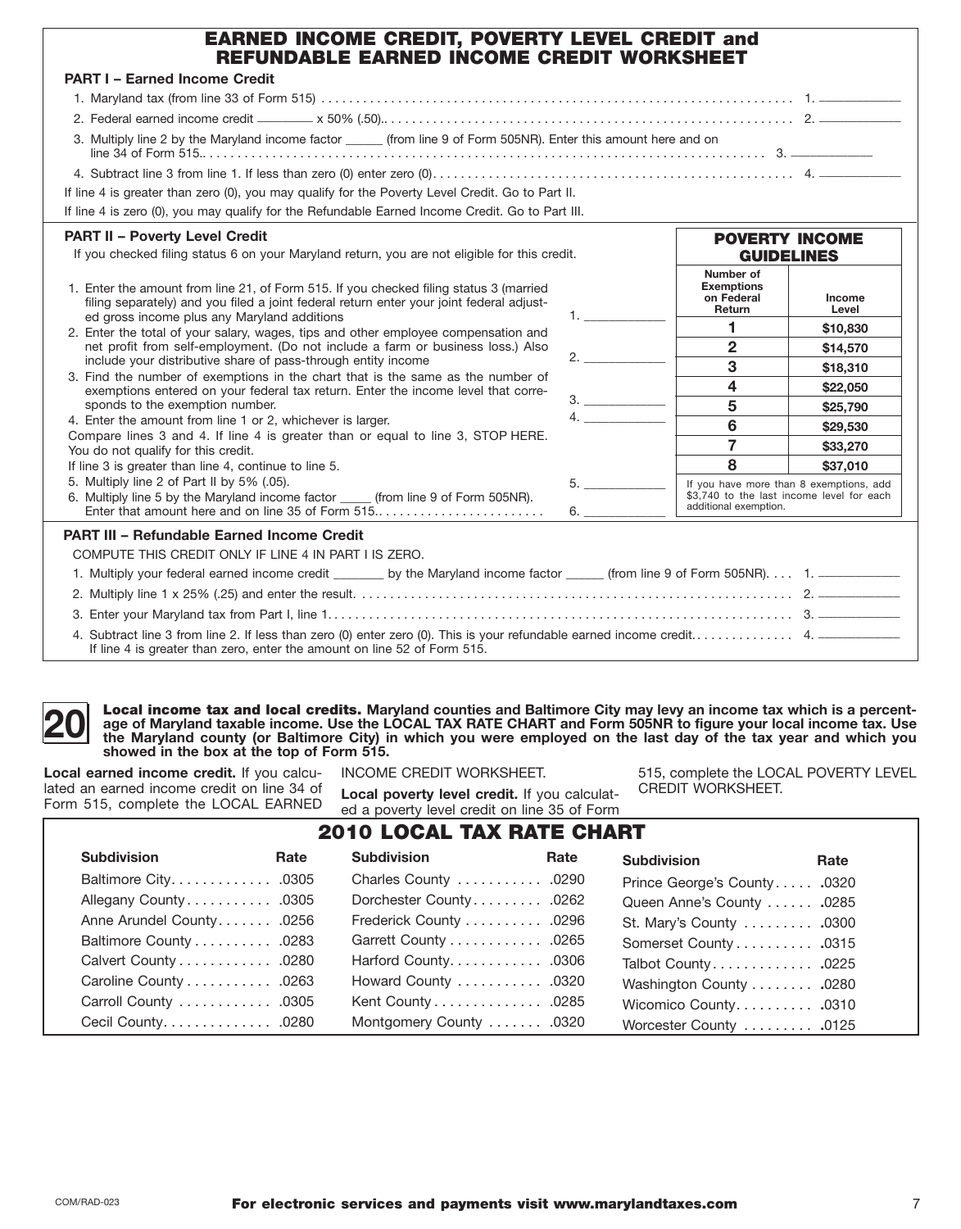|  | <b>EARNED INCOME CREDIT, POVERTY LEVEL CREDIT and</b> |  |
|--|-------------------------------------------------------|--|
|  | REFUNDABLE EARNED INCOME CREDIT WORKSHEET             |  |

| <b>PART I - Earned Income Credit</b>                                                                                                                                                                                              |                      |                                                                                                               |                 |
|-----------------------------------------------------------------------------------------------------------------------------------------------------------------------------------------------------------------------------------|----------------------|---------------------------------------------------------------------------------------------------------------|-----------------|
|                                                                                                                                                                                                                                   |                      |                                                                                                               |                 |
|                                                                                                                                                                                                                                   |                      |                                                                                                               |                 |
|                                                                                                                                                                                                                                   |                      |                                                                                                               |                 |
| 3. Multiply line 2 by the Maryland income factor ______ (from line 9 of Form 505NR). Enter this amount here and on                                                                                                                |                      |                                                                                                               |                 |
|                                                                                                                                                                                                                                   |                      |                                                                                                               |                 |
| If line 4 is greater than zero (0), you may qualify for the Poverty Level Credit. Go to Part II.                                                                                                                                  |                      |                                                                                                               |                 |
| If line 4 is zero (0), you may qualify for the Refundable Earned Income Credit. Go to Part III.                                                                                                                                   |                      |                                                                                                               |                 |
| <b>PART II - Poverty Level Credit</b>                                                                                                                                                                                             |                      | <b>POVERTY INCOME</b>                                                                                         |                 |
| If you checked filing status 6 on your Maryland return, you are not eligible for this credit.                                                                                                                                     |                      | <b>GUIDELINES</b>                                                                                             |                 |
| 1. Enter the amount from line 21, of Form 515. If you checked filing status 3 (married<br>filing separately) and you filed a joint federal return enter your joint federal adjust-<br>ed gross income plus any Maryland additions | $1.$ $\qquad \qquad$ | Number of<br><b>Exemptions</b><br>on Federal<br>Return                                                        | Income<br>Level |
| 2. Enter the total of your salary, wages, tips and other employee compensation and                                                                                                                                                |                      | 1                                                                                                             | \$10,830        |
| net profit from self-employment. (Do not include a farm or business loss.) Also                                                                                                                                                   |                      | $\mathbf{2}$                                                                                                  | \$14,570        |
| include your distributive share of pass-through entity income                                                                                                                                                                     | 2.                   | $\overline{3}$                                                                                                | \$18,310        |
| 3. Find the number of exemptions in the chart that is the same as the number of<br>exemptions entered on your federal tax return. Enter the income level that corre-                                                              |                      | 4                                                                                                             | \$22,050        |
| sponds to the exemption number.                                                                                                                                                                                                   | 3.                   | 5                                                                                                             | \$25,790        |
| 4. Enter the amount from line 1 or 2, whichever is larger.                                                                                                                                                                        |                      | 6                                                                                                             | \$29,530        |
| Compare lines 3 and 4. If line 4 is greater than or equal to line 3, STOP HERE.<br>You do not qualify for this credit.                                                                                                            |                      | $\overline{7}$                                                                                                | \$33,270        |
| If line 3 is greater than line 4, continue to line 5.                                                                                                                                                                             |                      | 8                                                                                                             | \$37,010        |
| 5. Multiply line 2 of Part II by 5% (.05).<br>6. Multiply line 5 by the Maryland income factor _____ (from line 9 of Form 505NR).                                                                                                 | 6.                   | If you have more than 8 exemptions, add<br>\$3,740 to the last income level for each<br>additional exemption. |                 |
| <b>PART III - Refundable Earned Income Credit</b>                                                                                                                                                                                 |                      |                                                                                                               |                 |
| COMPUTE THIS CREDIT ONLY IF LINE 4 IN PART I IS ZERO.                                                                                                                                                                             |                      |                                                                                                               |                 |
| 1. Multiply your federal earned income credit _______ by the Maryland income factor _____ (from line 9 of Form 505NR). 1. ____________                                                                                            |                      |                                                                                                               |                 |
|                                                                                                                                                                                                                                   |                      |                                                                                                               |                 |
|                                                                                                                                                                                                                                   |                      |                                                                                                               |                 |
| If line 4 is greater than zero, enter the amount on line 52 of Form 515.                                                                                                                                                          |                      |                                                                                                               |                 |

 **the Maryland county (or Baltimore City) in which you were employed on the last day of the tax year and which you 20 Local income tax and local credits.** Maryland counties and Baltimore City may levy an income tax which is a percent-<br>the Maryland taxable income. Use the LOCAL TAX RATE CHART and Form 505NR to figure your local incom **age of Maryland taxable income. Use the LOCAL TAX RATE CHART and Form 505NR to figure your local income tax. Use showed in the box at the top of Form 515.** 

Local earned income credit. If you calcu-<br>
lated an earned income credit on line 34 of **Local poverty level credit.** If you calculated CREDIT WORKSHEET.

lated an earned income credit on line 34 of **Local poverty level credit.** If you calculat- CREDIT WORKSHEET.<br>Form 515, complete the LOCAL EARNED ed a poverty level credit on line 35 of Form

#### Baltimore City. . . . . . . . . . . . . . . 0305 Allegany County........... .0305 Anne Arundel County....... .0256 Baltimore County . . . . . . . . . . . 0283 Calvert County . . . . . . . . . . . . . 0280 Caroline County . . . . . . . . . . . . 0263 Carroll County ............ .0305 Cecil County. . . . . . . . . . . . . . . 0280 Charles County ........... .0290 Dorchester County......... .0262 Frederick County . . . . . . . . . . . 0296 Garrett County . . . . . . . . . . . . . 0265 Harford County. . . . . . . . . . . . . 0306 Howard County ........... .0320 Kent County . . . . . . . . . . . . . . . 0285 Montgomery County ....... .0320 Baltimore City............. .0305 Charles County ........... .0290 Prince George's County ..... **.**0320 Allegany County ........... .0305 Dorchester County ......... .0262 Queen Anne's County ...... **.**0285 Anne Arundel County....... .0256 Frederick County .......... .0296 St. Mary's County ......... **.**0300 Baltimore County .......... .0283 Garrett County ............ .0265 Somerset County .......... **.**0315 Calvert County ............ .0280 Harford County............ .0306 Talbot County ............. **.**0225 Caroline County ........... .0263 Howard County ........... .0320 Washington County ........ **.**0280 Carroll County ............ .0305 Kent County .............. .0285 Wicomico County.......... **.**0310 Cecil County.............. .0280 Montgomery County ....... .0320 Worcester County ......... **.**0125 2010 LOCAL TAX RATE CHART **Subdivision Rate Subdivision Rate Subdivision Rate**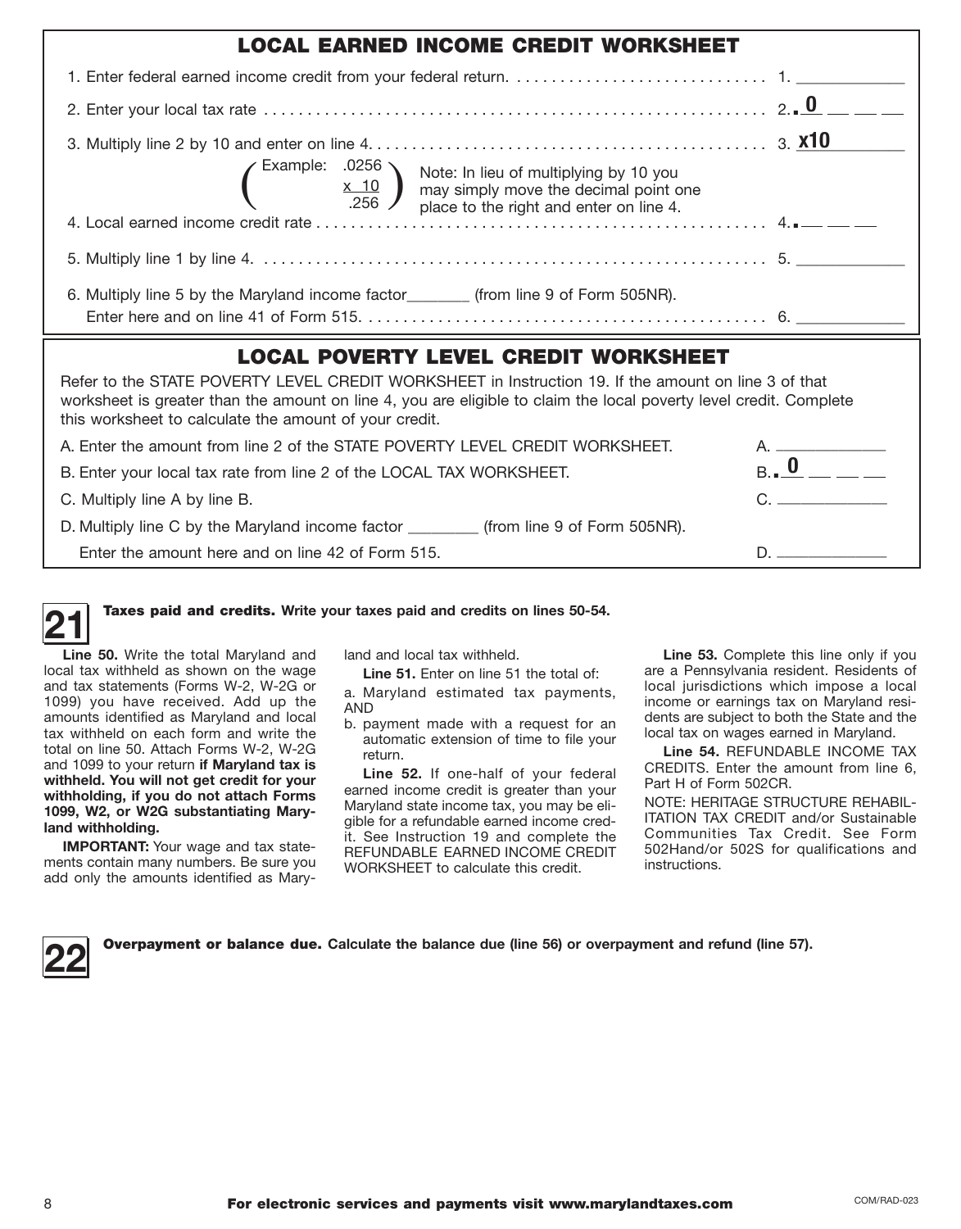| <b>LOCAL EARNED INCOME CREDIT WORKSHEET</b>                                                                                                                                                                                                                                          |  |
|--------------------------------------------------------------------------------------------------------------------------------------------------------------------------------------------------------------------------------------------------------------------------------------|--|
|                                                                                                                                                                                                                                                                                      |  |
|                                                                                                                                                                                                                                                                                      |  |
| Example: .0256<br>$\underbrace{x \quad 10}_{.256}$ Mote: In lieu of multiplying by 10 you<br>may simply move the decimal point one<br>place to the right and enter on line 4.                                                                                                        |  |
|                                                                                                                                                                                                                                                                                      |  |
|                                                                                                                                                                                                                                                                                      |  |
| 6. Multiply line 5 by the Maryland income factor_________ (from line 9 of Form 505NR).                                                                                                                                                                                               |  |
|                                                                                                                                                                                                                                                                                      |  |
| <b>LOCAL POVERTY LEVEL CREDIT WORKSHEET</b>                                                                                                                                                                                                                                          |  |
| Refer to the STATE POVERTY LEVEL CREDIT WORKSHEET in Instruction 19. If the amount on line 3 of that<br>worksheet is greater than the amount on line 4, you are eligible to claim the local poverty level credit. Complete<br>this worksheet to calculate the amount of your credit. |  |

| A. Enter the amount from line 2 of the STATE POVERTY LEVEL CREDIT WORKSHEET.              | $\overline{A}$ and $\overline{A}$ and $\overline{A}$ and $\overline{A}$ and $\overline{A}$ and $\overline{A}$ and $\overline{A}$ and $\overline{A}$ and $\overline{A}$ and $\overline{A}$ and $\overline{A}$ and $\overline{A}$ and $\overline{A}$ and $\overline{A}$ and $\overline{A}$ and $\overline{A}$ and $\overline{A}$ and |
|-------------------------------------------------------------------------------------------|------------------------------------------------------------------------------------------------------------------------------------------------------------------------------------------------------------------------------------------------------------------------------------------------------------------------------------|
| B. Enter your local tax rate from line 2 of the LOCAL TAX WORKSHEET.                      | $_{\rm B}$ , U                                                                                                                                                                                                                                                                                                                     |
| C. Multiply line A by line B.                                                             |                                                                                                                                                                                                                                                                                                                                    |
| D. Multiply line C by the Maryland income factor ________<br>(from line 9 of Form 505NR). |                                                                                                                                                                                                                                                                                                                                    |
| Enter the amount here and on line 42 of Form 515.                                         |                                                                                                                                                                                                                                                                                                                                    |

Taxes paid and credits. **Write your taxes paid and credits on lines 50-54. 21** 

 **Line 50.** Write the total Maryland and local tax withheld as shown on the wage 1099) you have received. Add up the amounts identified as Maryland and local tax withheld on each form and write the and tax statements (Forms W-2, W-2G or total on line 50. Attach Forms W-2, W-2G and 1099 to your return **if Maryland tax is withheld. You will not get credit for your withholding, if you do not attach Forms 1099, W2, or W2G substantiating Maryland withholding.** 

**IMPORTANT:** Your wage and tax statements contain many numbers. Be sure you add only the amounts identified as Maryland and local tax withheld.

 a. Maryland estimated tax payments, Line 51. Enter on line 51 the total of: AND

 b. payment made with a request for an automatic extension of time to file your return.

 **Line 52.** If one-half of your federal earned income credit is greater than your it. See Instruction 19 and complete the REFUNDABLE EARNED INCOME CREDIT Maryland state income tax, you may be eligible for a refundable earned income cred-WORKSHEET to calculate this credit.

 **Line 53.** Complete this line only if you are a Pennsylvania resident. Residents of local jurisdictions which impose a local income or earnings tax on Maryland residents are subject to both the State and the local tax on wages earned in Maryland.

 **Line 54.** REFUNDABLE INCOME TAX CREDITS. Enter the amount from line 6, Part H of Form 502CR.

 ITATION TAX CREDIT and/or Sustainable Communities Tax Credit. See Form 502Hand/or 502S for qualifications and NOTE: HERITAGE STRUCTURE REHABILinstructions.

| Over |
|------|
|      |

**22** Overpayment or balance due. **Calculate the balance due (line 56) or overpayment and refund (line 57).**